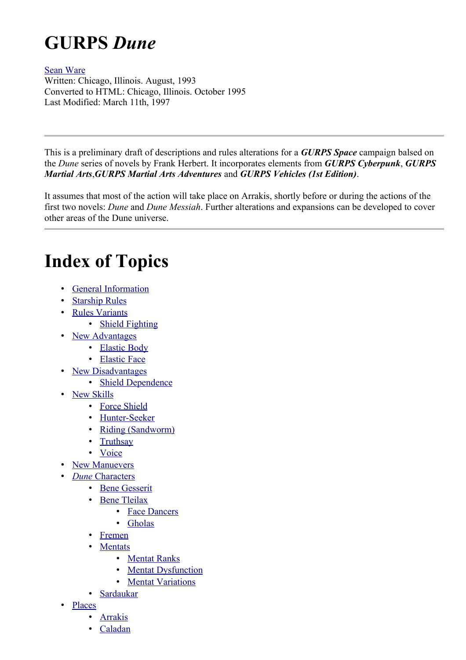# **GURPS** *Dune*

#### [Sean Ware](http://www.erinyes.org/bingo/)

Written: Chicago, Illinois. August, 1993 Converted to HTML: Chicago, Illinois. October 1995 Last Modified: March 11th, 1997

This is a preliminary draft of descriptions and rules alterations for a *GURPS Space* campaign balsed on the *Dune* series of novels by Frank Herbert. It incorporates elements from *GURPS Cyberpunk*, *GURPS Martial Arts*,*GURPS Martial Arts Adventures* and *GURPS Vehicles (1st Edition)*.

It assumes that most of the action will take place on Arrakis, shortly before or during the actions of the first two novels: *Dune* and *Dune Messiah*. Further alterations and expansions can be developed to cover other areas of the Dune universe.

# **Index of Topics**

- • [General Information](#page-1-0)
- • [Starship Rules](#page-2-0)
- • [Rules Variants](#page-4-1)
	- • [Shield Fighting](#page-4-0)
- • [New Advantages](#page-5-1)
	- • [Elastic Body](#page-5-0)
	- • [Elastic Face](#page-6-4)
- **New Disadvantages** 
	- • [Shield Dependence](#page-6-2)
- **New Skills** 
	- • [Force Shield](#page-6-0)
	- • [Hunter-Seeker](#page-7-3)
	- • [Riding \(Sandworm\)](#page-7-2)
	- **Truthsay**
	- • [Voice](#page-7-0)
	- **New Manuevers**
- • *Dune* [Characters](#page-8-1)
	- • [Bene Gesserit](#page-8-0)
	- • [Bene Tleilax](#page-10-1)
		- • [Face Dancers](#page-10-0)
		- • [Gholas](#page-11-1)
	- • [Fremen](#page-11-0)
	- **Mentats** 
		- • [Mentat Ranks](#page-13-0)
		- **Mentat Dysfunction**
		- • [Mentat Variations](#page-15-1)
	- **Sardaukar**
- • [Places](#page-16-1)
	- • [Arrakis](#page-16-0)
	- • [Caladan](#page-18-0)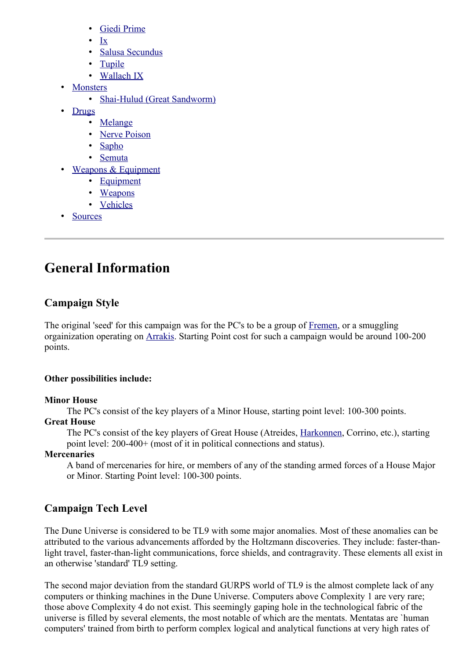- • [Giedi Prime](#page-18-1)
- • [Ix](#page-20-5)
- • [Salusa Secundus](#page-20-4)
- • [Tupile](#page-20-3)
- • [Wallach IX](#page-20-2)
- **Monsters** 
	- • [Shai-Hulud \(Great Sandworm\)](#page-20-0)
- • [Drugs](#page-21-1)
	- • [Melange](#page-21-0)
	- • [Nerve Poison](#page-22-2)
	- • [Sapho](#page-22-1)
	- • [Semuta](#page-22-0)
- • [Weapons & Equipment](#page-23-1)
	- • [Equipment](#page-23-0)
	- • [Weapons](#page-24-0)
	- • [Vehicles](#page-25-0)
- • [Sources](#page-26-0)

# <span id="page-1-0"></span>**General Information**

# **Campaign Style**

The original 'seed' for this campaign was for the PC's to be a group of [Fremen,](#page-11-0) or a smuggling orgainization operating on [Arrakis.](#page-16-0) Starting Point cost for such a campaign would be around 100-200 points.

#### **Other possibilities include:**

#### **Minor House**

The PC's consist of the key players of a Minor House, starting point level: 100-300 points.

#### **Great House**

The PC's consist of the key players of Great House (Atreides, [Harkonnen,](#page-18-1) Corrino, etc.), starting point level: 200-400+ (most of it in political connections and status).

#### **Mercenaries**

A band of mercenaries for hire, or members of any of the standing armed forces of a House Major or Minor. Starting Point level: 100-300 points.

# **Campaign Tech Level**

The Dune Universe is considered to be TL9 with some major anomalies. Most of these anomalies can be attributed to the various advancements afforded by the Holtzmann discoveries. They include: faster-thanlight travel, faster-than-light communications, force shields, and contragravity. These elements all exist in an otherwise 'standard' TL9 setting.

The second major deviation from the standard GURPS world of TL9 is the almost complete lack of any computers or thinking machines in the Dune Universe. Computers above Complexity 1 are very rare; those above Complexity 4 do not exist. This seemingly gaping hole in the technological fabric of the universe is filled by several elements, the most notable of which are the mentats. Mentatas are `human computers' trained from birth to perform complex logical and analytical functions at very high rates of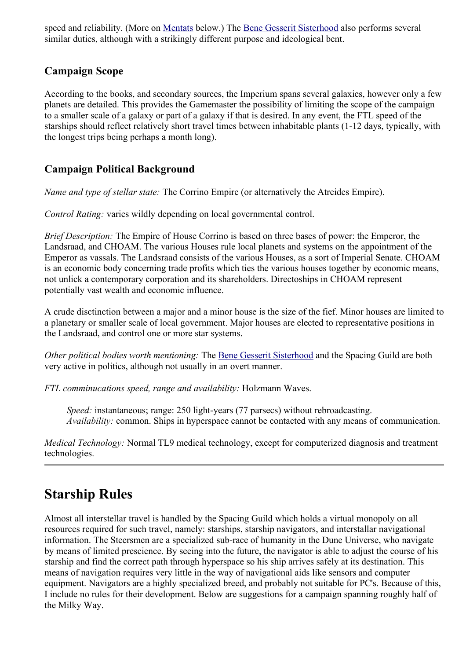speed and reliability. (More on [Mentats](#page-12-0) below.) The [Bene Gesserit Sisterhood](#page-8-0) also performs several similar duties, although with a strikingly different purpose and ideological bent.

## **Campaign Scope**

According to the books, and secondary sources, the Imperium spans several galaxies, however only a few planets are detailed. This provides the Gamemaster the possibility of limiting the scope of the campaign to a smaller scale of a galaxy or part of a galaxy if that is desired. In any event, the FTL speed of the starships should reflect relatively short travel times between inhabitable plants (1-12 days, typically, with the longest trips being perhaps a month long).

## **Campaign Political Background**

*Name and type of stellar state:* The Corrino Empire (or alternatively the Atreides Empire).

*Control Rating:* varies wildly depending on local governmental control.

*Brief Description:* The Empire of House Corrino is based on three bases of power: the Emperor, the Landsraad, and CHOAM. The various Houses rule local planets and systems on the appointment of the Emperor as vassals. The Landsraad consists of the various Houses, as a sort of Imperial Senate. CHOAM is an economic body concerning trade profits which ties the various houses together by economic means, not unlick a contemporary corporation and its shareholders. Directoships in CHOAM represent potentially vast wealth and economic influence.

A crude disctinction between a major and a minor house is the size of the fief. Minor houses are limited to a planetary or smaller scale of local government. Major houses are elected to representative positions in the Landsraad, and control one or more star systems.

*Other political bodies worth mentioning:* The [Bene Gesserit Sisterhood](#page-8-0) and the Spacing Guild are both very active in politics, although not usually in an overt manner.

*FTL comminucations speed, range and availability:* Holzmann Waves.

*Speed:* instantaneous; range: 250 light-years (77 parsecs) without rebroadcasting. *Availability:* common. Ships in hyperspace cannot be contacted with any means of communication.

*Medical Technology:* Normal TL9 medical technology, except for computerized diagnosis and treatment technologies.

# <span id="page-2-0"></span>**Starship Rules**

Almost all interstellar travel is handled by the Spacing Guild which holds a virtual monopoly on all resources required for such travel, namely: starships, starship navigators, and interstallar navigational information. The Steersmen are a specialized sub-race of humanity in the Dune Universe, who navigate by means of limited prescience. By seeing into the future, the navigator is able to adjust the course of his starship and find the correct path through hyperspace so his ship arrives safely at its destination. This means of navigation requires very little in the way of navigational aids like sensors and computer equipment. Navigators are a highly specialized breed, and probably not suitable for PC's. Because of this, I include no rules for their development. Below are suggestions for a campaign spanning roughly half of the Milky Way.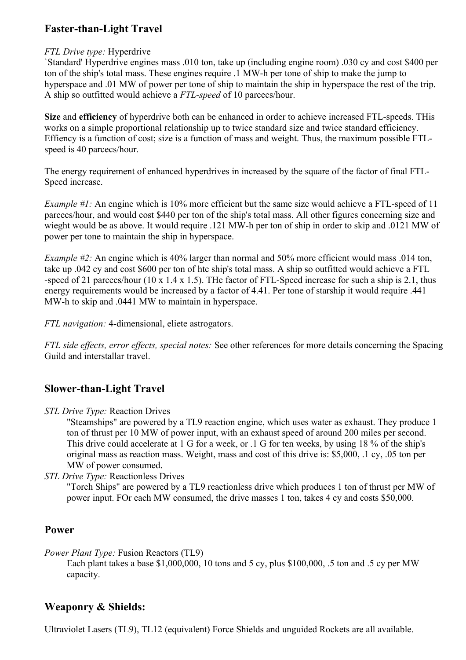## **Faster-than-Light Travel**

#### *FTL Drive type:* Hyperdrive

`Standard' Hyperdrive engines mass .010 ton, take up (including engine room) .030 cy and cost \$400 per ton of the ship's total mass. These engines require .1 MW-h per tone of ship to make the jump to hyperspace and .01 MW of power per tone of ship to maintain the ship in hyperspace the rest of the trip. A ship so outfitted would achieve a *FTL-speed* of 10 parcecs/hour.

**Size** and **efficiency** of hyperdrive both can be enhanced in order to achieve increased FTL-speeds. THis works on a simple proportional relationship up to twice standard size and twice standard efficiency. Effiency is a function of cost; size is a function of mass and weight. Thus, the maximum possible FTLspeed is 40 parcecs/hour.

The energy requirement of enhanced hyperdrives in increased by the square of the factor of final FTL-Speed increase.

*Example #1:* An engine which is 10% more efficient but the same size would achieve a FTL-speed of 11 parcecs/hour, and would cost \$440 per ton of the ship's total mass. All other figures concerning size and wieght would be as above. It would require .121 MW-h per ton of ship in order to skip and .0121 MW of power per tone to maintain the ship in hyperspace.

*Example #2:* An engine which is 40% larger than normal and 50% more efficient would mass .014 ton, take up .042 cy and cost \$600 per ton of hte ship's total mass. A ship so outfitted would achieve a FTL -speed of 21 parcecs/hour (10 x 1.4 x 1.5). THe factor of FTL-Speed increase for such a ship is 2.1, thus energy requirements would be increased by a factor of 4.41. Per tone of starship it would require .441 MW-h to skip and .0441 MW to maintain in hyperspace.

*FTL navigation:* 4-dimensional, eliete astrogators.

*FTL side effects, error effects, special notes:* See other references for more details concerning the Spacing Guild and interstallar travel.

## **Slower-than-Light Travel**

*STL Drive Type:* Reaction Drives

"Steamships" are powered by a TL9 reaction engine, which uses water as exhaust. They produce 1 ton of thrust per 10 MW of power input, with an exhaust speed of around 200 miles per second. This drive could accelerate at 1 G for a week, or .1 G for ten weeks, by using 18 % of the ship's original mass as reaction mass. Weight, mass and cost of this drive is: \$5,000, .1 cy, .05 ton per MW of power consumed.

*STL Drive Type:* Reactionless Drives

"Torch Ships" are powered by a TL9 reactionless drive which produces 1 ton of thrust per MW of power input. FOr each MW consumed, the drive masses 1 ton, takes 4 cy and costs \$50,000.

#### **Power**

*Power Plant Type:* Fusion Reactors (TL9)

Each plant takes a base \$1,000,000, 10 tons and 5 cy, plus \$100,000, .5 ton and .5 cy per MW capacity.

### **Weaponry & Shields:**

Ultraviolet Lasers (TL9), TL12 (equivalent) Force Shields and unguided Rockets are all available.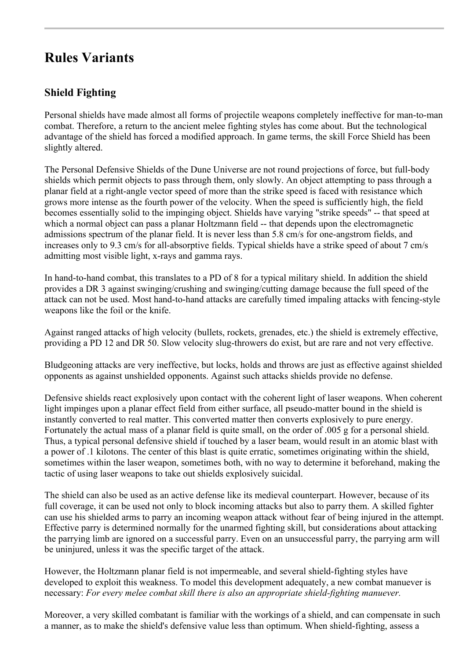# <span id="page-4-1"></span>**Rules Variants**

## <span id="page-4-0"></span>**Shield Fighting**

Personal shields have made almost all forms of projectile weapons completely ineffective for man-to-man combat. Therefore, a return to the ancient melee fighting styles has come about. But the technological advantage of the shield has forced a modified approach. In game terms, the skill Force Shield has been slightly altered.

The Personal Defensive Shields of the Dune Universe are not round projections of force, but full-body shields which permit objects to pass through them, only slowly. An object attempting to pass through a planar field at a right-angle vector speed of more than the strike speed is faced with resistance which grows more intense as the fourth power of the velocity. When the speed is sufficiently high, the field becomes essentially solid to the impinging object. Shields have varying "strike speeds" -- that speed at which a normal object can pass a planar Holtzmann field -- that depends upon the electromagnetic admissions spectrum of the planar field. It is never less than 5.8 cm/s for one-angstrom fields, and increases only to 9.3 cm/s for all-absorptive fields. Typical shields have a strike speed of about 7 cm/s admitting most visible light, x-rays and gamma rays.

In hand-to-hand combat, this translates to a PD of 8 for a typical military shield. In addition the shield provides a DR 3 against swinging/crushing and swinging/cutting damage because the full speed of the attack can not be used. Most hand-to-hand attacks are carefully timed impaling attacks with fencing-style weapons like the foil or the knife.

Against ranged attacks of high velocity (bullets, rockets, grenades, etc.) the shield is extremely effective, providing a PD 12 and DR 50. Slow velocity slug-throwers do exist, but are rare and not very effective.

Bludgeoning attacks are very ineffective, but locks, holds and throws are just as effective against shielded opponents as against unshielded opponents. Against such attacks shields provide no defense.

Defensive shields react explosively upon contact with the coherent light of laser weapons. When coherent light impinges upon a planar effect field from either surface, all pseudo-matter bound in the shield is instantly converted to real matter. This converted matter then converts explosively to pure energy. Fortunately the actual mass of a planar field is quite small, on the order of .005 g for a personal shield. Thus, a typical personal defensive shield if touched by a laser beam, would result in an atomic blast with a power of .1 kilotons. The center of this blast is quite erratic, sometimes originating within the shield, sometimes within the laser weapon, sometimes both, with no way to determine it beforehand, making the tactic of using laser weapons to take out shields explosively suicidal.

The shield can also be used as an active defense like its medieval counterpart. However, because of its full coverage, it can be used not only to block incoming attacks but also to parry them. A skilled fighter can use his shielded arms to parry an incoming weapon attack without fear of being injured in the attempt. Effective parry is determined normally for the unarmed fighting skill, but considerations about attacking the parrying limb are ignored on a successful parry. Even on an unsuccessful parry, the parrying arm will be uninjured, unless it was the specific target of the attack.

However, the Holtzmann planar field is not impermeable, and several shield-fighting styles have developed to exploit this weakness. To model this development adequately, a new combat manuever is necessary: *For every melee combat skill there is also an appropriate shield-fighting manuever.*

Moreover, a very skilled combatant is familiar with the workings of a shield, and can compensate in such a manner, as to make the shield's defensive value less than optimum. When shield-fighting, assess a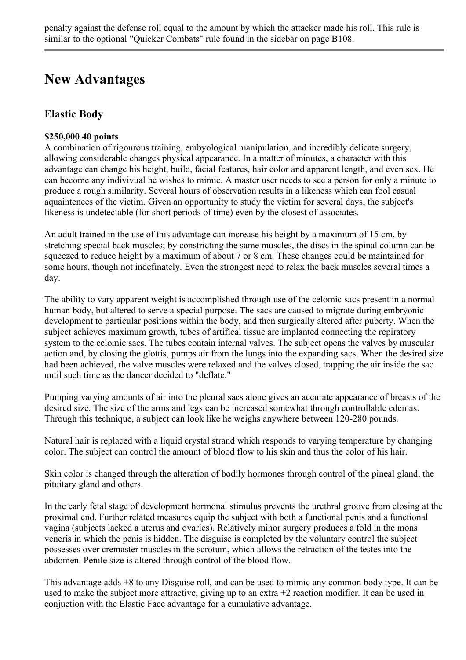# <span id="page-5-1"></span>**New Advantages**

# <span id="page-5-0"></span>**Elastic Body**

#### **\$250,000 40 points**

A combination of rigourous training, embyological manipulation, and incredibly delicate surgery, allowing considerable changes physical appearance. In a matter of minutes, a character with this advantage can change his height, build, facial features, hair color and apparent length, and even sex. He can become any indivivual he wishes to mimic. A master user needs to see a person for only a minute to produce a rough similarity. Several hours of observation results in a likeness which can fool casual aquaintences of the victim. Given an opportunity to study the victim for several days, the subject's likeness is undetectable (for short periods of time) even by the closest of associates.

An adult trained in the use of this advantage can increase his height by a maximum of 15 cm, by stretching special back muscles; by constricting the same muscles, the discs in the spinal column can be squeezed to reduce height by a maximum of about 7 or 8 cm. These changes could be maintained for some hours, though not indefinately. Even the strongest need to relax the back muscles several times a day.

The ability to vary apparent weight is accomplished through use of the celomic sacs present in a normal human body, but altered to serve a special purpose. The sacs are caused to migrate during embryonic development to particular positions within the body, and then surgically altered after puberty. When the subject achieves maximum growth, tubes of artifical tissue are implanted connecting the repiratory system to the celomic sacs. The tubes contain internal valves. The subject opens the valves by muscular action and, by closing the glottis, pumps air from the lungs into the expanding sacs. When the desired size had been achieved, the valve muscles were relaxed and the valves closed, trapping the air inside the sac until such time as the dancer decided to "deflate."

Pumping varying amounts of air into the pleural sacs alone gives an accurate appearance of breasts of the desired size. The size of the arms and legs can be increased somewhat through controllable edemas. Through this technique, a subject can look like he weighs anywhere between 120-280 pounds.

Natural hair is replaced with a liquid crystal strand which responds to varying temperature by changing color. The subject can control the amount of blood flow to his skin and thus the color of his hair.

Skin color is changed through the alteration of bodily hormones through control of the pineal gland, the pituitary gland and others.

In the early fetal stage of development hormonal stimulus prevents the urethral groove from closing at the proximal end. Further related measures equip the subject with both a functional penis and a functional vagina (subjects lacked a uterus and ovaries). Relatively minor surgery produces a fold in the mons veneris in which the penis is hidden. The disguise is completed by the voluntary control the subject possesses over cremaster muscles in the scrotum, which allows the retraction of the testes into the abdomen. Penile size is altered through control of the blood flow.

This advantage adds +8 to any Disguise roll, and can be used to mimic any common body type. It can be used to make the subject more attractive, giving up to an extra +2 reaction modifier. It can be used in conjuction with the Elastic Face advantage for a cumulative advantage.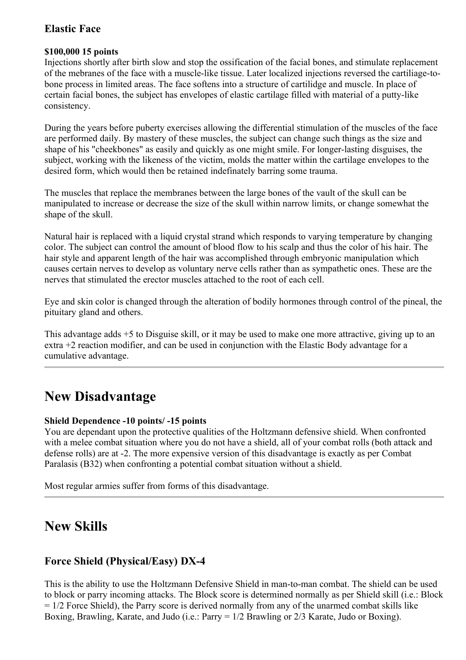## <span id="page-6-4"></span>**Elastic Face**

#### **\$100,000 15 points**

Injections shortly after birth slow and stop the ossification of the facial bones, and stimulate replacement of the mebranes of the face with a muscle-like tissue. Later localized injections reversed the cartiliage-tobone process in limited areas. The face softens into a structure of cartilidge and muscle. In place of certain facial bones, the subject has envelopes of elastic cartilage filled with material of a putty-like consistency.

During the years before puberty exercises allowing the differential stimulation of the muscles of the face are performed daily. By mastery of these muscles, the subject can change such things as the size and shape of his "cheekbones" as easily and quickly as one might smile. For longer-lasting disguises, the subject, working with the likeness of the victim, molds the matter within the cartilage envelopes to the desired form, which would then be retained indefinately barring some trauma.

The muscles that replace the membranes between the large bones of the vault of the skull can be manipulated to increase or decrease the size of the skull within narrow limits, or change somewhat the shape of the skull.

Natural hair is replaced with a liquid crystal strand which responds to varying temperature by changing color. The subject can control the amount of blood flow to his scalp and thus the color of his hair. The hair style and apparent length of the hair was accomplished through embryonic manipulation which causes certain nerves to develop as voluntary nerve cells rather than as sympathetic ones. These are the nerves that stimulated the erector muscles attached to the root of each cell.

Eye and skin color is changed through the alteration of bodily hormones through control of the pineal, the pituitary gland and others.

This advantage adds +5 to Disguise skill, or it may be used to make one more attractive, giving up to an extra +2 reaction modifier, and can be used in conjunction with the Elastic Body advantage for a cumulative advantage.

# <span id="page-6-3"></span>**New Disadvantage**

#### <span id="page-6-2"></span>**Shield Dependence -10 points/ -15 points**

You are dependant upon the protective qualities of the Holtzmann defensive shield. When confronted with a melee combat situation where you do not have a shield, all of your combat rolls (both attack and defense rolls) are at -2. The more expensive version of this disadvantage is exactly as per Combat Paralasis (B32) when confronting a potential combat situation without a shield.

Most regular armies suffer from forms of this disadvantage.

# <span id="page-6-1"></span>**New Skills**

### <span id="page-6-0"></span>**Force Shield (Physical/Easy) DX-4**

This is the ability to use the Holtzmann Defensive Shield in man-to-man combat. The shield can be used to block or parry incoming attacks. The Block score is determined normally as per Shield skill (i.e.: Block  $= 1/2$  Force Shield), the Parry score is derived normally from any of the unarmed combat skills like Boxing, Brawling, Karate, and Judo (i.e.: Parry = 1/2 Brawling or 2/3 Karate, Judo or Boxing).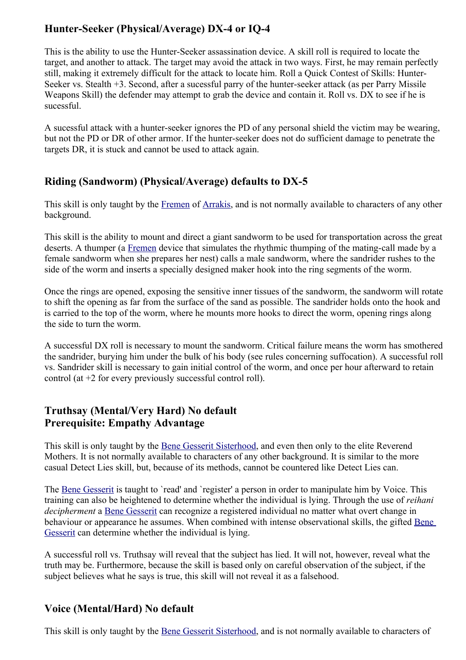# <span id="page-7-3"></span>**Hunter-Seeker (Physical/Average) DX-4 or IQ-4**

This is the ability to use the Hunter-Seeker assassination device. A skill roll is required to locate the target, and another to attack. The target may avoid the attack in two ways. First, he may remain perfectly still, making it extremely difficult for the attack to locate him. Roll a Quick Contest of Skills: Hunter-Seeker vs. Stealth +3. Second, after a sucessful parry of the hunter-seeker attack (as per Parry Missile Weapons Skill) the defender may attempt to grab the device and contain it. Roll vs. DX to see if he is sucessful.

A sucessful attack with a hunter-seeker ignores the PD of any personal shield the victim may be wearing, but not the PD or DR of other armor. If the hunter-seeker does not do sufficient damage to penetrate the targets DR, it is stuck and cannot be used to attack again.

# <span id="page-7-2"></span>**Riding (Sandworm) (Physical/Average) defaults to DX-5**

This skill is only taught by the [Fremen](#page-11-0) of [Arrakis,](#page-16-0) and is not normally available to characters of any other background.

This skill is the ability to mount and direct a giant sandworm to be used for transportation across the great deserts. A thumper (a [Fremen](#page-11-0) device that simulates the rhythmic thumping of the mating-call made by a female sandworm when she prepares her nest) calls a male sandworm, where the sandrider rushes to the side of the worm and inserts a specially designed maker hook into the ring segments of the worm.

Once the rings are opened, exposing the sensitive inner tissues of the sandworm, the sandworm will rotate to shift the opening as far from the surface of the sand as possible. The sandrider holds onto the hook and is carried to the top of the worm, where he mounts more hooks to direct the worm, opening rings along the side to turn the worm.

A successful DX roll is necessary to mount the sandworm. Critical failure means the worm has smothered the sandrider, burying him under the bulk of his body (see rules concerning suffocation). A successful roll vs. Sandrider skill is necessary to gain initial control of the worm, and once per hour afterward to retain control (at +2 for every previously successful control roll).

# <span id="page-7-1"></span>**Truthsay (Mental/Very Hard) No default Prerequisite: Empathy Advantage**

This skill is only taught by the [Bene Gesserit Sisterhood,](#page-8-0) and even then only to the elite Reverend Mothers. It is not normally available to characters of any other background. It is similar to the more casual Detect Lies skill, but, because of its methods, cannot be countered like Detect Lies can.

The [Bene Gesserit](#page-8-0) is taught to 'read' and 'register' a person in order to manipulate him by Voice. This training can also be heightened to determine whether the individual is lying. Through the use of *reihani decipherment* a [Bene Gesserit](#page-8-0) can recognize a registered individual no matter what overt change in behaviour or appearance he assumes. When combined with intense observational skills, the gifted [Bene](#page-8-0) [Gesserit](#page-8-0) can determine whether the individual is lying.

A successful roll vs. Truthsay will reveal that the subject has lied. It will not, however, reveal what the truth may be. Furthermore, because the skill is based only on careful observation of the subject, if the subject believes what he says is true, this skill will not reveal it as a falsehood.

# <span id="page-7-0"></span>**Voice (Mental/Hard) No default**

This skill is only taught by the [Bene Gesserit Sisterhood,](#page-8-0) and is not normally available to characters of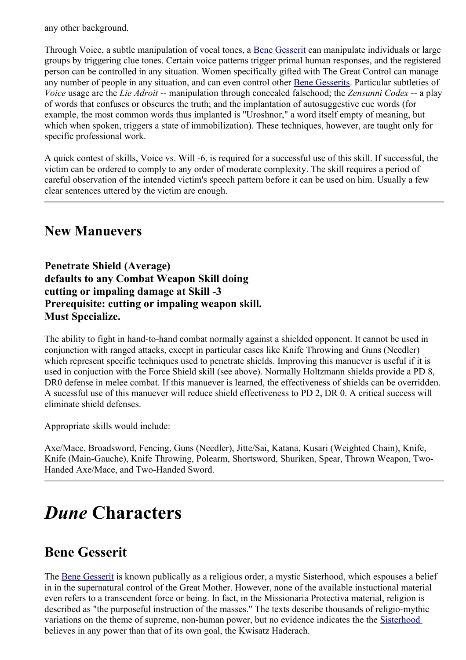any other background.

Through Voice, a subtle manipulation of vocal tones, a [Bene Gesserit](#page-8-0) can manipulate individuals or large groups by triggering clue tones. Certain voice patterns trigger primal human responses, and the registered person can be controlled in any situation. Women specifically gifted with The Great Control can manage any number of people in any situation, and can even control other [Bene Gesserits.](#page-8-0) Particular subtleties of *Voice* usage are the *Lie Adroit* -- manipulation through concealed falsehood; the *Zensunni Codex* -- a play of words that confuses or obscures the truth; and the implantation of autosuggestive cue words (for example, the most common words thus implanted is "Uroshnor," a word itself empty of meaning, but which when spoken, triggers a state of immobilization). These techniques, however, are taught only for specific professional work.

A quick contest of skills, Voice vs. Will -6, is required for a successful use of this skill. If successful, the victim can be ordered to comply to any order of moderate complexity. The skill requires a period of careful observation of the intended victim's speech pattern before it can be used on him. Usually a few clear sentences uttered by the victim are enough.

# <span id="page-8-2"></span>**New Manuevers**

**Penetrate Shield (Average) defaults to any Combat Weapon Skill doing cutting or impaling damage at Skill -3 Prerequisite: cutting or impaling weapon skill. Must Specialize.**

The ability to fight in hand-to-hand combat normally against a shielded opponent. It cannot be used in conjunction with ranged attacks, except in particular cases like Knife Throwing and Guns (Needler) which represent specific techniques used to penetrate shields. Improving this manuever is useful if it is used in conjuction with the Force Shield skill (see above). Normally Holtzmann shields provide a PD 8, DR0 defense in melee combat. If this manuever is learned, the effectiveness of shields can be overridden. A sucessful use of this manuever will reduce shield effectiveness to PD 2, DR 0. A critical success will eliminate shield defenses.

Appropriate skills would include:

Axe/Mace, Broadsword, Fencing, Guns (Needler), Jitte/Sai, Katana, Kusari (Weighted Chain), Knife, Knife (Main-Gauche), Knife Throwing, Polearm, Shortsword, Shuriken, Spear, Thrown Weapon, Two-Handed Axe/Mace, and Two-Handed Sword.

# <span id="page-8-1"></span>*Dune* **Characters**

# <span id="page-8-0"></span>**Bene Gesserit**

The [Bene Gesserit](#page-8-0) is known publically as a religious order, a mystic Sisterhood, which espouses a belief in in the supernatural control of the Great Mother. However, none of the available instuctional material even refers to a transcendent force or being. In fact, in the Missionaria Protectiva material, religion is described as "the purposeful instruction of the masses." The texts describe thousands of religio-mythic variations on the theme of supreme, non-human power, but no evidence indicates the the [Sisterhood](#page-8-0) believes in any power than that of its own goal, the Kwisatz Haderach.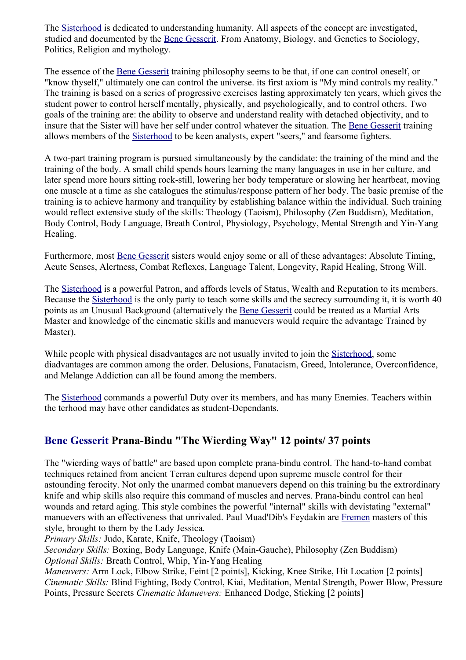The [Sisterhood](#page-8-0) is dedicated to understanding humanity. All aspects of the concept are investigated, studied and documented by the [Bene Gesserit.](#page-8-0) From Anatomy, Biology, and Genetics to Sociology, Politics, Religion and mythology.

The essence of the [Bene Gesserit](#page-8-0) training philosophy seems to be that, if one can control oneself, or "know thyself," ultimately one can control the universe. its first axiom is "My mind controls my reality." The training is based on a series of progressive exercises lasting approximately ten years, which gives the student power to control herself mentally, physically, and psychologically, and to control others. Two goals of the training are: the ability to observe and understand reality with detached objectivity, and to insure that the Sister will have her self under control whatever the situation. The [Bene Gesserit](#page-8-0) training allows members of the [Sisterhood](#page-8-0) to be keen analysts, expert "seers," and fearsome fighters.

A two-part training program is pursued simultaneously by the candidate: the training of the mind and the training of the body. A small child spends hours learning the many languages in use in her culture, and later spend more hours sitting rock-still, lowering her body temperature or slowing her heartbeat, moving one muscle at a time as she catalogues the stimulus/response pattern of her body. The basic premise of the training is to achieve harmony and tranquility by establishing balance within the individual. Such training would reflect extensive study of the skills: Theology (Taoism), Philosophy (Zen Buddism), Meditation, Body Control, Body Language, Breath Control, Physiology, Psychology, Mental Strength and Yin-Yang Healing.

Furthermore, most [Bene Gesserit](#page-8-0) sisters would enjoy some or all of these advantages: Absolute Timing, Acute Senses, Alertness, Combat Reflexes, Language Talent, Longevity, Rapid Healing, Strong Will.

The [Sisterhood](#page-8-0) is a powerful Patron, and affords levels of Status, Wealth and Reputation to its members. Because the [Sisterhood](#page-8-0) is the only party to teach some skills and the secrecy surrounding it, it is worth 40 points as an Unusual Background (alternatively the [Bene Gesserit](#page-8-0) could be treated as a Martial Arts Master and knowledge of the cinematic skills and manuevers would require the advantage Trained by Master).

While people with physical disadvantages are not usually invited to join the [Sisterhood,](#page-8-0) some diadvantages are common among the order. Delusions, Fanatacism, Greed, Intolerance, Overconfidence, and Melange Addiction can all be found among the members.

The [Sisterhood](#page-8-0) commands a powerful Duty over its members, and has many Enemies. Teachers within the terhood may have other candidates as student-Dependants.

# **[Bene Gesserit](#page-8-0) Prana-Bindu "The Wierding Way" 12 points/ 37 points**

The "wierding ways of battle" are based upon complete prana-bindu control. The hand-to-hand combat techniques retained from ancient Terran cultures depend upon supreme muscle control for their astounding ferocity. Not only the unarmed combat manuevers depend on this training bu the extrordinary knife and whip skills also require this command of muscles and nerves. Prana-bindu control can heal wounds and retard aging. This style combines the powerful "internal" skills with devistating "external" manuevers with an effectiveness that unrivaled. Paul Muad'Dib's Feydakin are [Fremen](#page-11-0) masters of this style, brought to them by the Lady Jessica.

*Primary Skills:* Judo, Karate, Knife, Theology (Taoism)

*Secondary Skills:* Boxing, Body Language, Knife (Main-Gauche), Philosophy (Zen Buddism) *Optional Skills:* Breath Control, Whip, Yin-Yang Healing

*Maneuvers:* Arm Lock, Elbow Strike, Feint [2 points], Kicking, Knee Strike, Hit Location [2 points] *Cinematic Skills:* Blind Fighting, Body Control, Kiai, Meditation, Mental Strength, Power Blow, Pressure Points, Pressure Secrets *Cinematic Manuevers:* Enhanced Dodge, Sticking [2 points]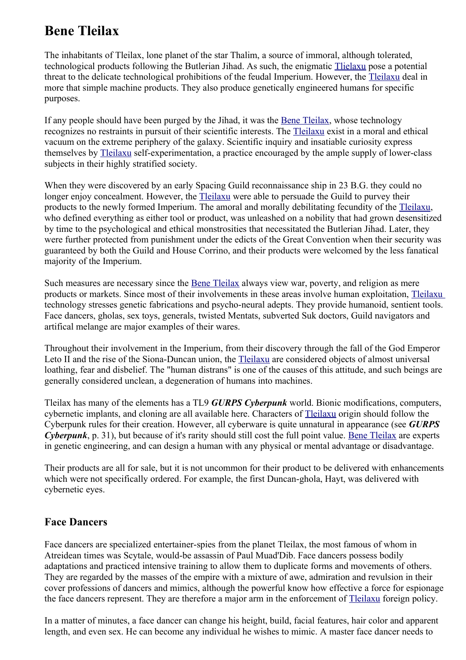# <span id="page-10-1"></span>**Bene Tleilax**

The inhabitants of Tleilax, lone planet of the star Thalim, a source of immoral, although tolerated, technological products following the Butlerian Jihad. As such, the enigmatic [Tlielaxu](#page-10-1) pose a potential threat to the delicate technological prohibitions of the feudal Imperium. However, the [Tleilaxu](#page-10-1) deal in more that simple machine products. They also produce genetically engineered humans for specific purposes.

If any people should have been purged by the Jihad, it was the [Bene Tleilax,](#page-10-1) whose technology recognizes no restraints in pursuit of their scientific interests. The [Tleilaxu](#page-10-1) exist in a moral and ethical vacuum on the extreme periphery of the galaxy. Scientific inquiry and insatiable curiosity express themselves by [Tleilaxu](#page-10-1) self-experimentation, a practice encouraged by the ample supply of lower-class subjects in their highly stratified society.

When they were discovered by an early Spacing Guild reconnaissance ship in 23 B.G. they could no longer enjoy concealment. However, the [Tleilaxu](#page-10-1) were able to persuade the Guild to purvey their products to the newly formed Imperium. The amoral and morally debilitating fecundity of the [Tleilaxu,](#page-10-1) who defined everything as either tool or product, was unleashed on a nobility that had grown desensitized by time to the psychological and ethical monstrosities that necessitated the Butlerian Jihad. Later, they were further protected from punishment under the edicts of the Great Convention when their security was guaranteed by both the Guild and House Corrino, and their products were welcomed by the less fanatical majority of the Imperium.

Such measures are necessary since the [Bene Tleilax](#page-10-1) always view war, poverty, and religion as mere products or markets. Since most of their involvements in these areas involve human exploitation, [Tleilaxu](#page-10-1) technology stresses genetic fabrications and psycho-neural adepts. They provide humanoid, sentient tools. Face dancers, gholas, sex toys, generals, twisted Mentats, subverted Suk doctors, Guild navigators and artifical melange are major examples of their wares.

Throughout their involvement in the Imperium, from their discovery through the fall of the God Emperor Leto II and the rise of the Siona-Duncan union, the [Tleilaxu](#page-10-1) are considered objects of almost universal loathing, fear and disbelief. The "human distrans" is one of the causes of this attitude, and such beings are generally considered unclean, a degeneration of humans into machines.

Tleilax has many of the elements has a TL9 *GURPS Cyberpunk* world. Bionic modifications, computers, cybernetic implants, and cloning are all available here. Characters of [Tleilaxu](#page-10-1) origin should follow the Cyberpunk rules for their creation. However, all cyberware is quite unnatural in appearance (see *GURPS Cyberpunk*, p. 31), but because of it's rarity should still cost the full point value. [Bene Tleilax](#page-10-1) are experts in genetic engineering, and can design a human with any physical or mental advantage or disadvantage.

Their products are all for sale, but it is not uncommon for their product to be delivered with enhancements which were not specifically ordered. For example, the first Duncan-ghola, Hayt, was delivered with cybernetic eyes.

# <span id="page-10-0"></span>**Face Dancers**

Face dancers are specialized entertainer-spies from the planet Tleilax, the most famous of whom in Atreidean times was Scytale, would-be assassin of Paul Muad'Dib. Face dancers possess bodily adaptations and practiced intensive training to allow them to duplicate forms and movements of others. They are regarded by the masses of the empire with a mixture of awe, admiration and revulsion in their cover professions of dancers and mimics, although the powerful know how effective a force for espionage the face dancers represent. They are therefore a major arm in the enforcement of [Tleilaxu](#page-10-1) foreign policy.

In a matter of minutes, a face dancer can change his height, build, facial features, hair color and apparent length, and even sex. He can become any individual he wishes to mimic. A master face dancer needs to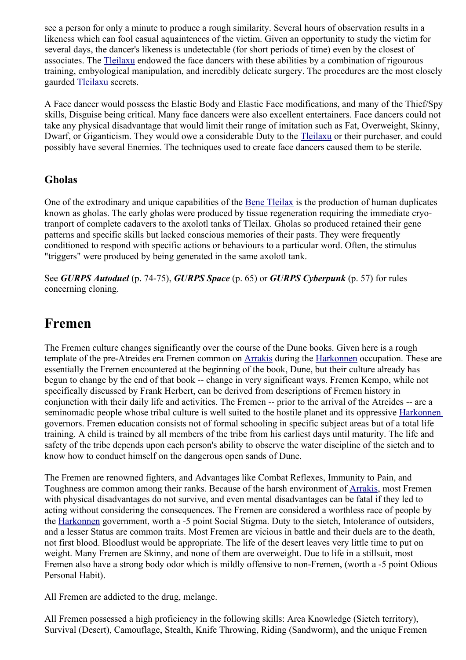see a person for only a minute to produce a rough similarity. Several hours of observation results in a likeness which can fool casual aquaintences of the victim. Given an opportunity to study the victim for several days, the dancer's likeness is undetectable (for short periods of time) even by the closest of associates. The [Tleilaxu](#page-10-1) endowed the face dancers with these abilities by a combination of rigourous training, embyological manipulation, and incredibly delicate surgery. The procedures are the most closely gaurded [Tleilaxu](#page-10-1) secrets.

A Face dancer would possess the Elastic Body and Elastic Face modifications, and many of the Thief/Spy skills, Disguise being critical. Many face dancers were also excellent entertainers. Face dancers could not take any physical disadvantage that would limit their range of imitation such as Fat, Overweight, Skinny, Dwarf, or Giganticism. They would owe a considerable Duty to the [Tleilaxu](#page-10-1) or their purchaser, and could possibly have several Enemies. The techniques used to create face dancers caused them to be sterile.

### <span id="page-11-1"></span>**Gholas**

One of the extrodinary and unique capabilities of the [Bene Tleilax](#page-10-1) is the production of human duplicates known as gholas. The early gholas were produced by tissue regeneration requiring the immediate cryotranport of complete cadavers to the axolotl tanks of Tleilax. Gholas so produced retained their gene patterns and specific skills but lacked conscious memories of their pasts. They were frequently conditioned to respond with specific actions or behaviours to a particular word. Often, the stimulus "triggers" were produced by being generated in the same axolotl tank.

See *GURPS Autoduel* (p. 74-75), *GURPS Space* (p. 65) or *GURPS Cyberpunk* (p. 57) for rules concerning cloning.

# <span id="page-11-0"></span>**Fremen**

The Fremen culture changes significantly over the course of the Dune books. Given here is a rough template of the pre-Atreides era Fremen common on [Arrakis](#page-16-0) during the [Harkonnen](#page-18-1) occupation. These are essentially the Fremen encountered at the beginning of the book, Dune, but their culture already has begun to change by the end of that book -- change in very significant ways. Fremen Kempo, while not specifically discussed by Frank Herbert, can be derived from descriptions of Fremen history in conjunction with their daily life and activities. The Fremen -- prior to the arrival of the Atreides -- are a seminomadic people whose tribal culture is well suited to the hostile planet and its oppressive [Harkonnen](#page-18-1) governors. Fremen education consists not of formal schooling in specific subject areas but of a total life training. A child is trained by all members of the tribe from his earliest days until maturity. The life and safety of the tribe depends upon each person's ability to observe the water discipline of the sietch and to know how to conduct himself on the dangerous open sands of Dune.

The Fremen are renowned fighters, and Advantages like Combat Reflexes, Immunity to Pain, and Toughness are common among their ranks. Because of the harsh environment of [Arrakis,](#page-16-0) most Fremen with physical disadvantages do not survive, and even mental disadvantages can be fatal if they led to acting without considering the consequences. The Fremen are considered a worthless race of people by the [Harkonnen](#page-18-1) government, worth a -5 point Social Stigma. Duty to the sietch, Intolerance of outsiders, and a lesser Status are common traits. Most Fremen are vicious in battle and their duels are to the death, not first blood. Bloodlust would be appropriate. The life of the desert leaves very little time to put on weight. Many Fremen are Skinny, and none of them are overweight. Due to life in a stillsuit, most Fremen also have a strong body odor which is mildly offensive to non-Fremen, (worth a -5 point Odious Personal Habit).

All Fremen are addicted to the drug, melange.

All Fremen possessed a high proficiency in the following skills: Area Knowledge (Sietch territory), Survival (Desert), Camouflage, Stealth, Knife Throwing, Riding (Sandworm), and the unique Fremen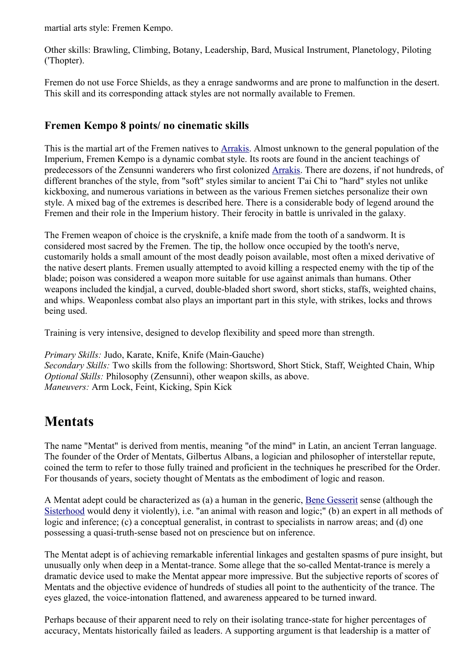martial arts style: Fremen Kempo.

Other skills: Brawling, Climbing, Botany, Leadership, Bard, Musical Instrument, Planetology, Piloting ('Thopter).

Fremen do not use Force Shields, as they a enrage sandworms and are prone to malfunction in the desert. This skill and its corresponding attack styles are not normally available to Fremen.

## **Fremen Kempo 8 points/ no cinematic skills**

This is the martial art of the Fremen natives to [Arrakis.](#page-16-0) Almost unknown to the general population of the Imperium, Fremen Kempo is a dynamic combat style. Its roots are found in the ancient teachings of predecessors of the Zensunni wanderers who first colonized [Arrakis.](#page-16-0) There are dozens, if not hundreds, of different branches of the style, from "soft" styles similar to ancient T'ai Chi to "hard" styles not unlike kickboxing, and numerous variations in between as the various Fremen sietches personalize their own style. A mixed bag of the extremes is described here. There is a considerable body of legend around the Fremen and their role in the Imperium history. Their ferocity in battle is unrivaled in the galaxy.

The Fremen weapon of choice is the crysknife, a knife made from the tooth of a sandworm. It is considered most sacred by the Fremen. The tip, the hollow once occupied by the tooth's nerve, customarily holds a small amount of the most deadly poison available, most often a mixed derivative of the native desert plants. Fremen usually attempted to avoid killing a respected enemy with the tip of the blade; poison was considered a weapon more suitable for use against animals than humans. Other weapons included the kindjal, a curved, double-bladed short sword, short sticks, staffs, weighted chains, and whips. Weaponless combat also plays an important part in this style, with strikes, locks and throws being used.

Training is very intensive, designed to develop flexibility and speed more than strength.

*Primary Skills:* Judo, Karate, Knife, Knife (Main-Gauche) *Secondary Skills:* Two skills from the following: Shortsword, Short Stick, Staff, Weighted Chain, Whip *Optional Skills:* Philosophy (Zensunni), other weapon skills, as above. *Maneuvers:* Arm Lock, Feint, Kicking, Spin Kick

# <span id="page-12-0"></span>**Mentats**

The name "Mentat" is derived from mentis, meaning "of the mind" in Latin, an ancient Terran language. The founder of the Order of Mentats, Gilbertus Albans, a logician and philosopher of interstellar repute, coined the term to refer to those fully trained and proficient in the techniques he prescribed for the Order. For thousands of years, society thought of Mentats as the embodiment of logic and reason.

A Mentat adept could be characterized as (a) a human in the generic, [Bene Gesserit](#page-8-0) sense (although the [Sisterhood](#page-8-0) would deny it violently), i.e. "an animal with reason and logic;" (b) an expert in all methods of logic and inference; (c) a conceptual generalist, in contrast to specialists in narrow areas; and (d) one possessing a quasi-truth-sense based not on prescience but on inference.

The Mentat adept is of achieving remarkable inferential linkages and gestalten spasms of pure insight, but unusually only when deep in a Mentat-trance. Some allege that the so-called Mentat-trance is merely a dramatic device used to make the Mentat appear more impressive. But the subjective reports of scores of Mentats and the objective evidence of hundreds of studies all point to the authenticity of the trance. The eyes glazed, the voice-intonation flattened, and awareness appeared to be turned inward.

Perhaps because of their apparent need to rely on their isolating trance-state for higher percentages of accuracy, Mentats historically failed as leaders. A supporting argument is that leadership is a matter of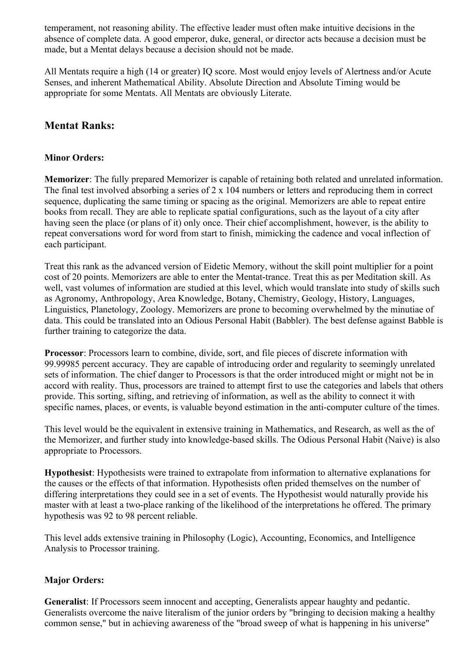temperament, not reasoning ability. The effective leader must often make intuitive decisions in the absence of complete data. A good emperor, duke, general, or director acts because a decision must be made, but a Mentat delays because a decision should not be made.

All Mentats require a high (14 or greater) IQ score. Most would enjoy levels of Alertness and/or Acute Senses, and inherent Mathematical Ability. Absolute Direction and Absolute Timing would be appropriate for some Mentats. All Mentats are obviously Literate.

### <span id="page-13-0"></span>**Mentat Ranks:**

#### **Minor Orders:**

**Memorizer**: The fully prepared Memorizer is capable of retaining both related and unrelated information. The final test involved absorbing a series of 2 x 104 numbers or letters and reproducing them in correct sequence, duplicating the same timing or spacing as the original. Memorizers are able to repeat entire books from recall. They are able to replicate spatial configurations, such as the layout of a city after having seen the place (or plans of it) only once. Their chief accomplishment, however, is the ability to repeat conversations word for word from start to finish, mimicking the cadence and vocal inflection of each participant.

Treat this rank as the advanced version of Eidetic Memory, without the skill point multiplier for a point cost of 20 points. Memorizers are able to enter the Mentat-trance. Treat this as per Meditation skill. As well, vast volumes of information are studied at this level, which would translate into study of skills such as Agronomy, Anthropology, Area Knowledge, Botany, Chemistry, Geology, History, Languages, Linguistics, Planetology, Zoology. Memorizers are prone to becoming overwhelmed by the minutiae of data. This could be translated into an Odious Personal Habit (Babbler). The best defense against Babble is further training to categorize the data.

**Processor**: Processors learn to combine, divide, sort, and file pieces of discrete information with 99.99985 percent accuracy. They are capable of introducing order and regularity to seemingly unrelated sets of information. The chief danger to Processors is that the order introduced might or might not be in accord with reality. Thus, processors are trained to attempt first to use the categories and labels that others provide. This sorting, sifting, and retrieving of information, as well as the ability to connect it with specific names, places, or events, is valuable beyond estimation in the anti-computer culture of the times.

This level would be the equivalent in extensive training in Mathematics, and Research, as well as the of the Memorizer, and further study into knowledge-based skills. The Odious Personal Habit (Naive) is also appropriate to Processors.

**Hypothesist**: Hypothesists were trained to extrapolate from information to alternative explanations for the causes or the effects of that information. Hypothesists often prided themselves on the number of differing interpretations they could see in a set of events. The Hypothesist would naturally provide his master with at least a two-place ranking of the likelihood of the interpretations he offered. The primary hypothesis was 92 to 98 percent reliable.

This level adds extensive training in Philosophy (Logic), Accounting, Economics, and Intelligence Analysis to Processor training.

#### **Major Orders:**

**Generalist**: If Processors seem innocent and accepting, Generalists appear haughty and pedantic. Generalists overcome the naive literalism of the junior orders by "bringing to decision making a healthy common sense," but in achieving awareness of the "broad sweep of what is happening in his universe"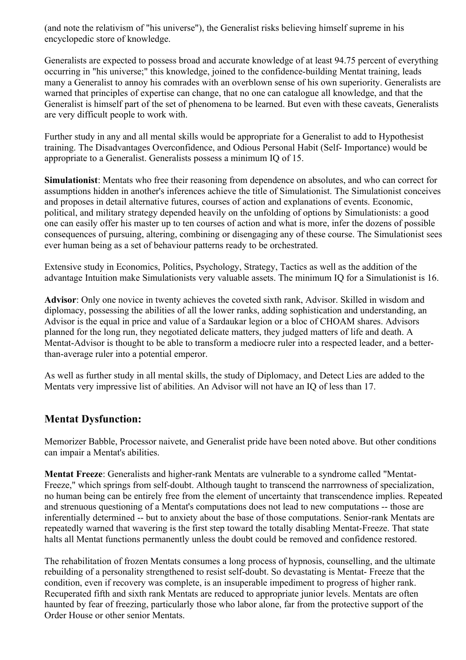(and note the relativism of "his universe"), the Generalist risks believing himself supreme in his encyclopedic store of knowledge.

Generalists are expected to possess broad and accurate knowledge of at least 94.75 percent of everything occurring in "his universe;" this knowledge, joined to the confidence-building Mentat training, leads many a Generalist to annoy his comrades with an overblown sense of his own superiority. Generalists are warned that principles of expertise can change, that no one can catalogue all knowledge, and that the Generalist is himself part of the set of phenomena to be learned. But even with these caveats, Generalists are very difficult people to work with.

Further study in any and all mental skills would be appropriate for a Generalist to add to Hypothesist training. The Disadvantages Overconfidence, and Odious Personal Habit (Self- Importance) would be appropriate to a Generalist. Generalists possess a minimum IQ of 15.

**Simulationist**: Mentats who free their reasoning from dependence on absolutes, and who can correct for assumptions hidden in another's inferences achieve the title of Simulationist. The Simulationist conceives and proposes in detail alternative futures, courses of action and explanations of events. Economic, political, and military strategy depended heavily on the unfolding of options by Simulationists: a good one can easily offer his master up to ten courses of action and what is more, infer the dozens of possible consequences of pursuing, altering, combining or disengaging any of these course. The Simulationist sees ever human being as a set of behaviour patterns ready to be orchestrated.

Extensive study in Economics, Politics, Psychology, Strategy, Tactics as well as the addition of the advantage Intuition make Simulationists very valuable assets. The minimum IQ for a Simulationist is 16.

**Advisor**: Only one novice in twenty achieves the coveted sixth rank, Advisor. Skilled in wisdom and diplomacy, possessing the abilities of all the lower ranks, adding sophistication and understanding, an Advisor is the equal in price and value of a Sardaukar legion or a bloc of CHOAM shares. Advisors planned for the long run, they negotiated delicate matters, they judged matters of life and death. A Mentat-Advisor is thought to be able to transform a mediocre ruler into a respected leader, and a betterthan-average ruler into a potential emperor.

As well as further study in all mental skills, the study of Diplomacy, and Detect Lies are added to the Mentats very impressive list of abilities. An Advisor will not have an IQ of less than 17.

### <span id="page-14-0"></span>**Mentat Dysfunction:**

Memorizer Babble, Processor naivete, and Generalist pride have been noted above. But other conditions can impair a Mentat's abilities.

**Mentat Freeze**: Generalists and higher-rank Mentats are vulnerable to a syndrome called "Mentat-Freeze," which springs from self-doubt. Although taught to transcend the narrrowness of specialization, no human being can be entirely free from the element of uncertainty that transcendence implies. Repeated and strenuous questioning of a Mentat's computations does not lead to new computations -- those are inferentially determined -- but to anxiety about the base of those computations. Senior-rank Mentats are repeatedly warned that wavering is the first step toward the totally disabling Mentat-Freeze. That state halts all Mentat functions permanently unless the doubt could be removed and confidence restored.

The rehabilitation of frozen Mentats consumes a long process of hypnosis, counselling, and the ultimate rebuilding of a personality strengthened to resist self-doubt. So devastating is Mentat- Freeze that the condition, even if recovery was complete, is an insuperable impediment to progress of higher rank. Recuperated fifth and sixth rank Mentats are reduced to appropriate junior levels. Mentats are often haunted by fear of freezing, particularly those who labor alone, far from the protective support of the Order House or other senior Mentats.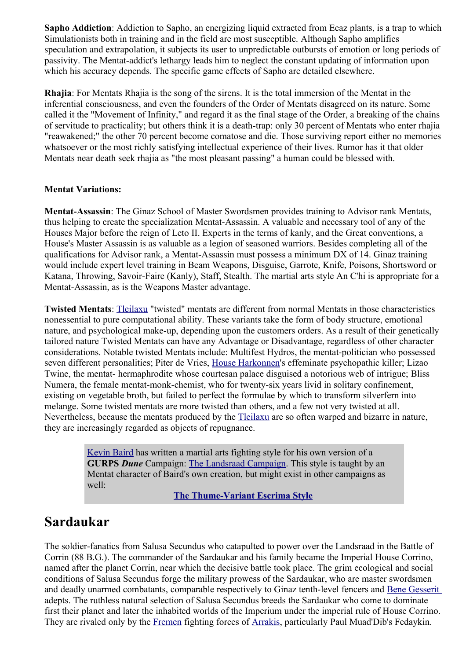**Sapho Addiction**: Addiction to Sapho, an energizing liquid extracted from Ecaz plants, is a trap to which Simulationists both in training and in the field are most susceptible. Although Sapho amplifies speculation and extrapolation, it subjects its user to unpredictable outbursts of emotion or long periods of passivity. The Mentat-addict's lethargy leads him to neglect the constant updating of information upon which his accuracy depends. The specific game effects of Sapho are detailed elsewhere.

**Rhajia**: For Mentats Rhajia is the song of the sirens. It is the total immersion of the Mentat in the inferential consciousness, and even the founders of the Order of Mentats disagreed on its nature. Some called it the "Movement of Infinity," and regard it as the final stage of the Order, a breaking of the chains of servitude to practicality; but others think it is a death-trap: only 30 percent of Mentats who enter rhajia "reawakened;" the other 70 percent become comatose and die. Those surviving report either no memories whatsoever or the most richly satisfying intellectual experience of their lives. Rumor has it that older Mentats near death seek rhajia as "the most pleasant passing" a human could be blessed with.

#### <span id="page-15-1"></span>**Mentat Variations:**

**Mentat-Assassin**: The Ginaz School of Master Swordsmen provides training to Advisor rank Mentats, thus helping to create the specialization Mentat-Assassin. A valuable and necessary tool of any of the Houses Major before the reign of Leto II. Experts in the terms of kanly, and the Great conventions, a House's Master Assassin is as valuable as a legion of seasoned warriors. Besides completing all of the qualifications for Advisor rank, a Mentat-Assassin must possess a minimum DX of 14. Ginaz training would include expert level training in Beam Weapons, Disguise, Garrote, Knife, Poisons, Shortsword or Katana, Throwing, Savoir-Faire (Kanly), Staff, Stealth. The martial arts style An C'hi is appropriate for a Mentat-Assassin, as is the Weapons Master advantage.

**Twisted Mentats**: [Tleilaxu](#page-10-1) "twisted" mentats are different from normal Mentats in those characteristics nonessential to pure computational ability. These variants take the form of body structure, emotional nature, and psychological make-up, depending upon the customers orders. As a result of their genetically tailored nature Twisted Mentats can have any Advantage or Disadvantage, regardless of other character considerations. Notable twisted Mentats include: Multifest Hydros, the mentat-politician who possessed seven different personalities; Piter de Vries, [House Harkonnen'](#page-18-1)s effeminate psychopathic killer; Lizao Twine, the mentat- hermaphrodite whose courtesan palace disguised a notorious web of intrigue; Bliss Numera, the female mentat-monk-chemist, who for twenty-six years livid in solitary confinement, existing on vegetable broth, but failed to perfect the formulae by which to transform silverfern into melange. Some twisted mentats are more twisted than others, and a few not very twisted at all. Nevertheless, because the mentats produced by the [Tleilaxu](#page-10-1) are so often warped and bizarre in nature, they are increasingly regarded as objects of repugnance.

> [Kevin Baird](http://www.acsu.buffalo.edu/~kcbaird/) has written a martial arts fighting style for his own version of a **GURPS** *Dune* Campaign: [The Landsraad Campaign.](http://www.acsu.buffalo.edu/~kcbaird/dune/) This style is taught by an Mentat character of Baird's own creation, but might exist in other campaigns as well:

**[The Thume-Variant Escrima Style](http://www.acsu.buffalo.edu/~kcbaird/dune/thume_escrima.html)**

# <span id="page-15-0"></span>**Sardaukar**

The soldier-fanatics from Salusa Secundus who catapulted to power over the Landsraad in the Battle of Corrin (88 B.G.). The commander of the Sardaukar and his family became the Imperial House Corrino, named after the planet Corrin, near which the decisive battle took place. The grim ecological and social conditions of Salusa Secundus forge the military prowess of the Sardaukar, who are master swordsmen and deadly unarmed combatants, comparable respectively to Ginaz tenth-level fencers and [Bene Gesserit](#page-8-0) adepts. The ruthless natural selection of Salusa Secundus breeds the Sardaukar who come to dominate first their planet and later the inhabited worlds of the Imperium under the imperial rule of House Corrino. They are rivaled only by the [Fremen](#page-11-0) fighting forces of [Arrakis,](#page-16-0) particularly Paul Muad'Dib's Fedaykin.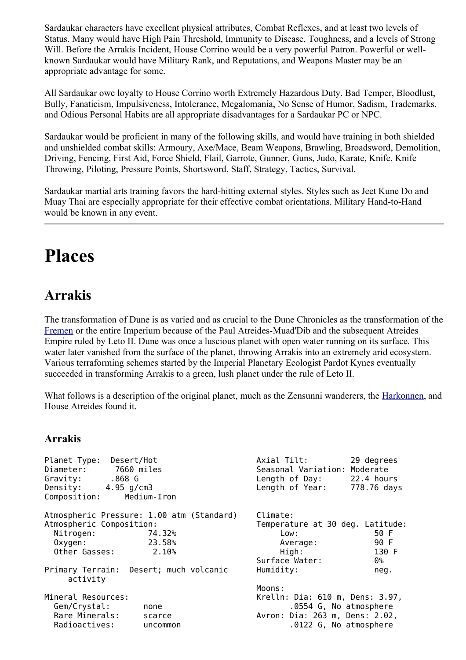Sardaukar characters have excellent physical attributes, Combat Reflexes, and at least two levels of Status. Many would have High Pain Threshold, Immunity to Disease, Toughness, and a levels of Strong Will. Before the Arrakis Incident, House Corrino would be a very powerful Patron. Powerful or wellknown Sardaukar would have Military Rank, and Reputations, and Weapons Master may be an appropriate advantage for some.

All Sardaukar owe loyalty to House Corrino worth Extremely Hazardous Duty. Bad Temper, Bloodlust, Bully, Fanaticism, Impulsiveness, Intolerance, Megalomania, No Sense of Humor, Sadism, Trademarks, and Odious Personal Habits are all appropriate disadvantages for a Sardaukar PC or NPC.

Sardaukar would be proficient in many of the following skills, and would have training in both shielded and unshielded combat skills: Armoury, Axe/Mace, Beam Weapons, Brawling, Broadsword, Demolition, Driving, Fencing, First Aid, Force Shield, Flail, Garrote, Gunner, Guns, Judo, Karate, Knife, Knife Throwing, Piloting, Pressure Points, Shortsword, Staff, Strategy, Tactics, Survival.

Sardaukar martial arts training favors the hard-hitting external styles. Styles such as Jeet Kune Do and Muay Thai are especially appropriate for their effective combat orientations. Military Hand-to-Hand would be known in any event.

# <span id="page-16-1"></span>**Places**

# <span id="page-16-0"></span>**Arrakis**

The transformation of Dune is as varied and as crucial to the Dune Chronicles as the transformation of the [Fremen](#page-11-0) or the entire Imperium because of the Paul Atreides-Muad'Dib and the subsequent Atreides Empire ruled by Leto II. Dune was once a luscious planet with open water running on its surface. This water later vanished from the surface of the planet, throwing Arrakis into an extremely arid ecosystem. Various terraforming schemes started by the Imperial Planetary Ecologist Pardot Kynes eventually succeeded in transforming Arrakis to a green, lush planet under the rule of Leto II.

What follows is a description of the original planet, much as the Zensunni wanderers, the [Harkonnen,](#page-18-1) and House Atreides found it.

### **Arrakis**

| Planet Type:<br>Desert/Hot<br>Diameter: 7660 miles<br>Gravity: .868 G<br>Density: $4.95$ g/cm3<br>Composition: | Medium-Iron                               | Axial Tilt:<br>Seasonal Variation: Moderate<br>Length of Day: 22.4 hours<br>Length of Year: | 29 degrees<br>778.76 days |
|----------------------------------------------------------------------------------------------------------------|-------------------------------------------|---------------------------------------------------------------------------------------------|---------------------------|
|                                                                                                                | Atmospheric Pressure: 1.00 atm (Standard) | Climate:                                                                                    |                           |
| Atmospheric Composition:                                                                                       |                                           | Temperature at 30 deg. Latitude:                                                            |                           |
| Nitrogen:                                                                                                      | 74.32%                                    | Low:                                                                                        | 50 F                      |
| $0$ xygen:                                                                                                     | 23.58%                                    | Average:                                                                                    | 90 F                      |
| Other Gasses:                                                                                                  | 2.10%                                     | High:                                                                                       | 130 F                     |
|                                                                                                                |                                           | Surface Water:                                                                              | 0%                        |
| Primary Terrain: Desert; much volcanic                                                                         |                                           | Humidity:                                                                                   | neg.                      |
| activity                                                                                                       |                                           | Moons:                                                                                      |                           |
| Mineral Resources:                                                                                             |                                           | Krelln: Dia: 610 m, Dens: 3.97,                                                             |                           |
| Gem/Crystal:                                                                                                   |                                           | .0554 G, No atmosphere                                                                      |                           |
| Rare Minerals:                                                                                                 | none<br>scarce                            | Avron: Dia: 263 m, Dens: 2.02,                                                              |                           |
| Radioactives:                                                                                                  | uncommon                                  | .0122 G, No atmosphere                                                                      |                           |
|                                                                                                                |                                           |                                                                                             |                           |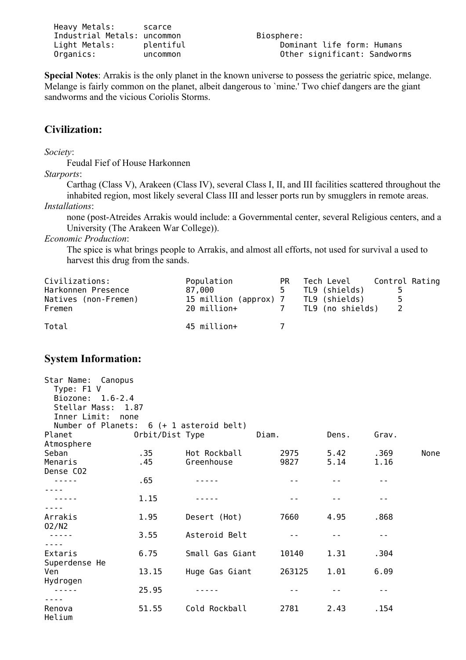| Heavy Metals:               | scarce   |
|-----------------------------|----------|
| Industrial Metals: uncommon |          |
| Light Metals:               | plentifu |
| Organics:                   | uncommon |

**Special Notes**: Arrakis is the only planet in the known universe to possess the geriatric spice, melange. Melange is fairly common on the planet, albeit dangerous to `mine.' Two chief dangers are the giant sandworms and the vicious Coriolis Storms.

### **Civilization:**

*Society*:

Feudal Fief of House Harkonnen

*Starports*:

Carthag (Class V), Arakeen (Class IV), several Class I, II, and III facilities scattered throughout the inhabited region, most likely several Class III and lesser ports run by smugglers in remote areas. *Installations*:

none (post-Atreides Arrakis would include: a Governmental center, several Religious centers, and a University (The Arakeen War College)).

*Economic Production*:

The spice is what brings people to Arrakis, and almost all efforts, not used for survival a used to harvest this drug from the sands.

| Civilizations:<br>Harkonnen Presence<br>Natives (non-Fremen)<br>Fremen | Population<br>87.000<br>15 million (approx) 7<br>20 million+ | PR.<br>5. | Tech Level<br>TL9 (shields)<br>TL9 (shields)<br>TL9 (no shields) | Control Rating<br>5. |
|------------------------------------------------------------------------|--------------------------------------------------------------|-----------|------------------------------------------------------------------|----------------------|
| Total                                                                  | 45 million+                                                  |           |                                                                  |                      |

### **System Information:**

| Star Name:<br>Canopus<br>Type: F1 V<br>Biozone: 1.6-2.4<br>Stellar Mass: 1.87<br>Inner Limit: | none            |                       |        |       |       |      |
|-----------------------------------------------------------------------------------------------|-----------------|-----------------------|--------|-------|-------|------|
| Number of Planets:                                                                            |                 | 6 (+ 1 asteroid belt) |        |       |       |      |
| Planet                                                                                        | Orbit/Dist Type |                       | Diam.  | Dens. | Grav. |      |
| Atmosphere<br>Seban                                                                           | .35             | Hot Rockball          | 2975   | 5.42  | .369  | None |
| Menaris                                                                                       | . 45            | Greenhouse            | 9827   | 5.14  | 1.16  |      |
| Dense CO2                                                                                     |                 |                       |        |       |       |      |
|                                                                                               | .65             |                       |        |       |       |      |
|                                                                                               |                 |                       |        |       |       |      |
|                                                                                               | 1.15            |                       |        |       | - -   |      |
|                                                                                               |                 |                       |        |       |       |      |
| Arrakis                                                                                       | 1.95            | Desert (Hot)          | 7660   | 4.95  | .868  |      |
| 02/N2                                                                                         | 3.55            | Asteroid Belt         |        |       | - -   |      |
|                                                                                               |                 |                       |        |       |       |      |
| Extaris                                                                                       | 6.75            | Small Gas Giant       | 10140  | 1.31  | .304  |      |
| Superdense He                                                                                 |                 |                       |        |       |       |      |
| Ven                                                                                           | 13.15           | Huge Gas Giant        | 263125 | 1.01  | 6.09  |      |
| Hydrogen                                                                                      |                 |                       |        |       |       |      |
|                                                                                               | 25.95           |                       |        |       | - -   |      |
|                                                                                               |                 |                       |        |       |       |      |
| Renova<br>Helium                                                                              | 51.55           | Cold Rockball         | 2781   | 2.43  | .154  |      |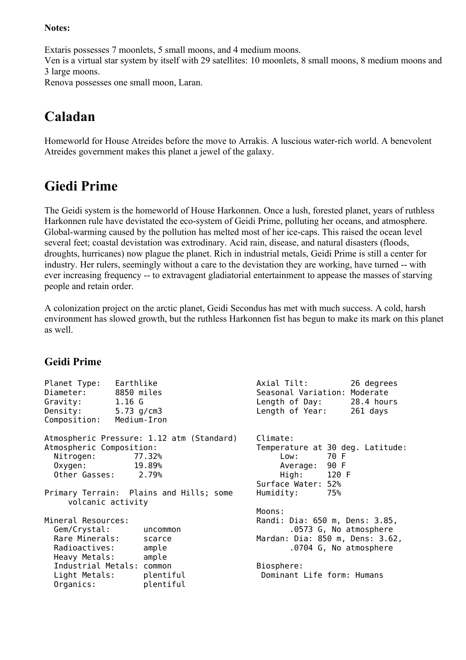#### **Notes:**

Extaris possesses 7 moonlets, 5 small moons, and 4 medium moons. Ven is a virtual star system by itself with 29 satellites: 10 moonlets, 8 small moons, 8 medium moons and 3 large moons. Renova possesses one small moon, Laran.

# <span id="page-18-0"></span>**Caladan**

Homeworld for House Atreides before the move to Arrakis. A luscious water-rich world. A benevolent Atreides government makes this planet a jewel of the galaxy.

# <span id="page-18-1"></span>**Giedi Prime**

The Geidi system is the homeworld of House Harkonnen. Once a lush, forested planet, years of ruthless Harkonnen rule have devistated the eco-system of Geidi Prime, polluting her oceans, and atmosphere. Global-warming caused by the pollution has melted most of her ice-caps. This raised the ocean level several feet; coastal devistation was extrodinary. Acid rain, disease, and natural disasters (floods, droughts, hurricanes) now plague the planet. Rich in industrial metals, Geidi Prime is still a center for industry. Her rulers, seemingly without a care to the devistation they are working, have turned -- with ever increasing frequency -- to extravagent gladiatorial entertainment to appease the masses of starving people and retain order.

A colonization project on the arctic planet, Geidi Secondus has met with much success. A cold, harsh environment has slowed growth, but the ruthless Harkonnen fist has begun to make its mark on this planet as well.

# **Geidi Prime**

| Planet Type:<br>Diameter:<br>Gravity: $1.16 G$<br>Density:<br>Composition:             | Earthlike<br>8850 miles<br>5.73 $g/cm3$<br>Medium-Iron                                                   | Axial Tilt:<br>26 degrees<br>Seasonal Variation: Moderate<br>Length of Day: 28.4 hours<br>Length of Year:<br>261 days                  |
|----------------------------------------------------------------------------------------|----------------------------------------------------------------------------------------------------------|----------------------------------------------------------------------------------------------------------------------------------------|
| Atmospheric Composition:<br>Nitrogen:<br>Oxygen:<br>Other Gasses: 2.79%                | Atmospheric Pressure: 1.12 atm (Standard)<br>77.32%<br>19.89%<br>Primary Terrain: Plains and Hills; some | Climate:<br>Temperature at 30 deg. Latitude:<br>70 F<br>Low:<br>Average: 90 F<br>High: 120 F<br>Surface Water: 52%<br>Humidity:<br>75% |
| volcanic activity                                                                      |                                                                                                          | Moons:                                                                                                                                 |
| Mineral Resources:<br>Gem/Crystal:<br>Rare Minerals:<br>Radioactives:<br>Heavy Metals: | uncommon<br>scarce<br>ample<br>ample                                                                     | Randi: Dia: 650 m, Dens: 3.85,<br>.0573 G, No atmosphere<br>Mardan: Dia: 850 m, Dens: 3.62,<br>.0704 G, No atmosphere                  |
| Industrial Metals: common<br>Light Metals:<br>Organics:                                | plentiful<br>plentiful                                                                                   | Biosphere:<br>Dominant Life form: Humans                                                                                               |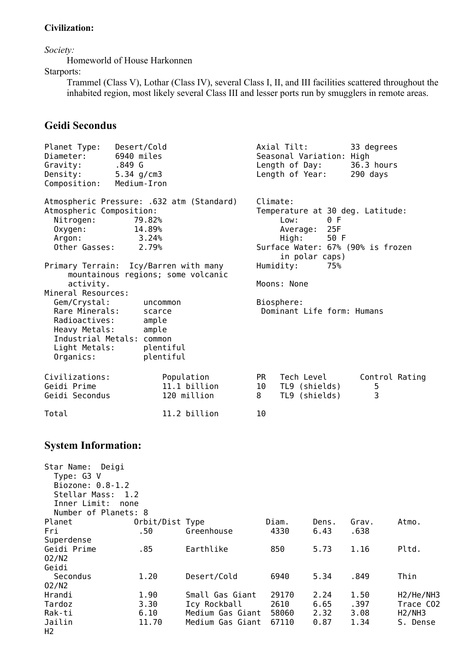#### **Civilization:**

*Society:*

Homeworld of House Harkonnen

Starports:

H2

Trammel (Class V), Lothar (Class IV), several Class I, II, and III facilities scattered throughout the inhabited region, most likely several Class III and lesser ports run by smugglers in remote areas.

### **Geidi Secondus**

| Planet Type:<br>Diameter:<br>Gravity:<br>Density:<br>Composition:                                               | Desert/Cold<br>6940 miles<br>.849 G<br>5.34 $g/cm3$<br>Medium-Iron                      |                                                     |                                        | Axial Tilt:<br>33 degrees<br>Seasonal Variation: High<br>Length of Day:<br>36.3 hours<br>Length of Year:<br>290 days |                                                                       |                                                           |  |  |
|-----------------------------------------------------------------------------------------------------------------|-----------------------------------------------------------------------------------------|-----------------------------------------------------|----------------------------------------|----------------------------------------------------------------------------------------------------------------------|-----------------------------------------------------------------------|-----------------------------------------------------------|--|--|
| Atmospheric Composition:<br>Nitrogen:<br>Oxygen:<br>Argon:<br>Other Gasses:                                     | Atmospheric Pressure: .632 atm (Standard)<br>79.82%<br>14.89%<br>3.24%<br>2.79%         |                                                     | Climate:<br>Low:<br>Average:<br>High:  | 0 F<br>25F<br>50 F<br>in polar caps)                                                                                 | Temperature at 30 deg. Latitude:<br>Surface Water: 67% (90% is frozen |                                                           |  |  |
| activity.<br>Mineral Resources:<br>Gem/Crystal:                                                                 | Primary Terrain: Icy/Barren with many<br>mountainous regions; some volcanic<br>uncommon |                                                     | Humidity:<br>Moons: None<br>Biosphere: | 75%                                                                                                                  |                                                                       |                                                           |  |  |
| Rare Minerals:<br>Radioactives:<br>Heavy Metals:<br>Light Metals:<br>Organics:                                  | scarce<br>ample<br>ample<br>Industrial Metals: common<br>plentiful<br>plentiful         |                                                     | Dominant Life form: Humans             |                                                                                                                      |                                                                       |                                                           |  |  |
| Civilizations:<br>Geidi Prime<br>Geidi Secondus                                                                 |                                                                                         | Population<br>11.1 billion<br>120 million           | <b>PR</b><br>10<br>8                   | Tech Level<br>TL9 (shields)<br>TL9 (shields)                                                                         | 5<br>3                                                                | Control Rating                                            |  |  |
| Total                                                                                                           |                                                                                         | 11.2 billion<br>10                                  |                                        |                                                                                                                      |                                                                       |                                                           |  |  |
| <b>System Information:</b>                                                                                      |                                                                                         |                                                     |                                        |                                                                                                                      |                                                                       |                                                           |  |  |
| Star Name: Deigi<br>Type: G3 V<br>Biozone: 0.8-1.2<br>Stellar Mass: 1.2<br>Inner Limit:<br>Number of Planets: 8 | none                                                                                    |                                                     |                                        |                                                                                                                      |                                                                       |                                                           |  |  |
| Planet<br>Fri<br>Superdense                                                                                     | Orbit/Dist Type<br>.50                                                                  | Greenhouse                                          | Diam.<br>4330                          | Dens.<br>6.43                                                                                                        | Grav.<br>.638                                                         | Atmo.                                                     |  |  |
| Geidi Prime<br>02/N2<br>Geidi                                                                                   | .85                                                                                     | Earthlike                                           | 850                                    | 5.73                                                                                                                 | 1.16                                                                  | Pltd.                                                     |  |  |
| Secondus<br>02/N2                                                                                               | 1.20                                                                                    | Desert/Cold                                         | 6940                                   | 5.34                                                                                                                 | .849                                                                  | Thin                                                      |  |  |
| Hrandi<br>Tardoz<br>Rak-ti                                                                                      | 1.90<br>3.30<br>6.10                                                                    | Small Gas Giant<br>Icy Rockball<br>Medium Gas Giant | 29170<br>2610<br>58060                 | 2.24<br>6.65<br>2.32                                                                                                 | 1.50<br>.397<br>3.08                                                  | H <sub>2</sub> /He/NH <sub>3</sub><br>Trace CO2<br>H2/NH3 |  |  |

Jailin 11.70 Medium Gas Giant 67110 0.87 1.34 S. Dense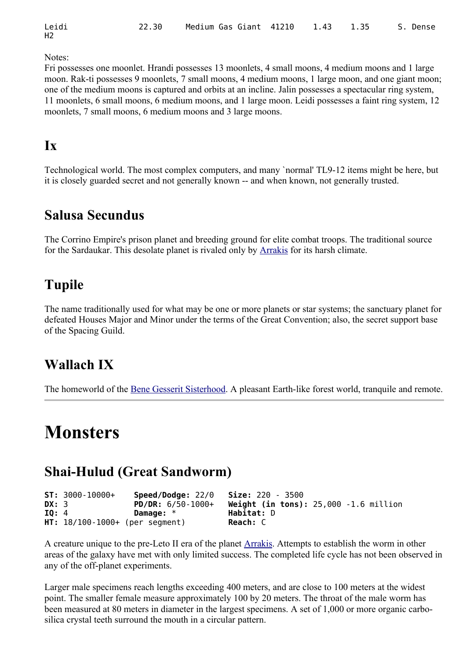| Leidi          | 22.30 Medium Gas Giant 41210 1.43 1.35 S. Dense |  |  |  |  |
|----------------|-------------------------------------------------|--|--|--|--|
| H <sub>2</sub> |                                                 |  |  |  |  |

Notes:

Fri possesses one moonlet. Hrandi possesses 13 moonlets, 4 small moons, 4 medium moons and 1 large moon. Rak-ti possesses 9 moonlets, 7 small moons, 4 medium moons, 1 large moon, and one giant moon; one of the medium moons is captured and orbits at an incline. Jalin possesses a spectacular ring system, 11 moonlets, 6 small moons, 6 medium moons, and 1 large moon. Leidi possesses a faint ring system, 12 moonlets, 7 small moons, 6 medium moons and 3 large moons.

# <span id="page-20-5"></span>**Ix**

Technological world. The most complex computers, and many `normal' TL9-12 items might be here, but it is closely guarded secret and not generally known -- and when known, not generally trusted.

# <span id="page-20-4"></span>**Salusa Secundus**

The Corrino Empire's prison planet and breeding ground for elite combat troops. The traditional source for the Sardaukar. This desolate planet is rivaled only by [Arrakis](#page-16-0) for its harsh climate.

# <span id="page-20-3"></span>**Tupile**

The name traditionally used for what may be one or more planets or star systems; the sanctuary planet for defeated Houses Major and Minor under the terms of the Great Convention; also, the secret support base of the Spacing Guild.

# <span id="page-20-2"></span>**Wallach IX**

The homeworld of the [Bene Gesserit Sisterhood.](#page-8-0) A pleasant Earth-like forest world, tranquile and remote.

# <span id="page-20-1"></span>**Monsters**

# <span id="page-20-0"></span>**Shai-Hulud (Great Sandworm)**

| <b>DX:</b> 3 | $ST: 3000 - 10000 +$ | <b>Speed/Dodge:</b> $22/0$ <b>Size:</b> $220 - 3500$<br>PD/DR: $6/50-1000+$ | Weight (in tons): $25,000 - 1.6$ million |
|--------------|----------------------|-----------------------------------------------------------------------------|------------------------------------------|
| IO: 4        |                      | Damage: $*$                                                                 | Habitat: D                               |
|              |                      | $HT: 18/100-1000+$ (per segment)                                            | Reach: C                                 |

A creature unique to the pre-Leto II era of the planet [Arrakis.](#page-16-0) Attempts to establish the worm in other areas of the galaxy have met with only limited success. The completed life cycle has not been observed in any of the off-planet experiments.

Larger male specimens reach lengths exceeding 400 meters, and are close to 100 meters at the widest point. The smaller female measure approximately 100 by 20 meters. The throat of the male worm has been measured at 80 meters in diameter in the largest specimens. A set of 1,000 or more organic carbosilica crystal teeth surround the mouth in a circular pattern.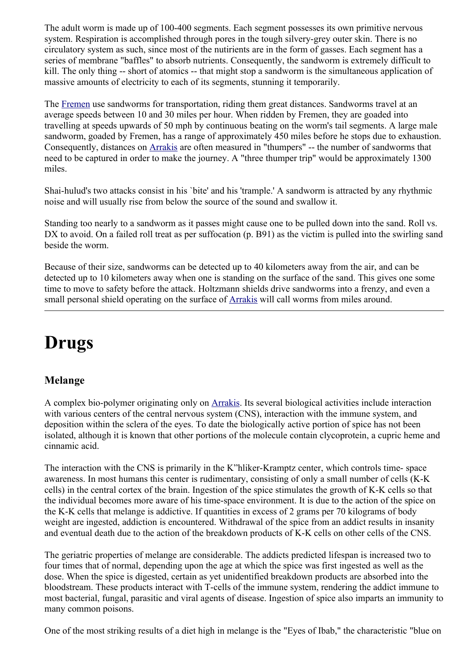The adult worm is made up of 100-400 segments. Each segment possesses its own primitive nervous system. Respiration is accomplished through pores in the tough silvery-grey outer skin. There is no circulatory system as such, since most of the nutirients are in the form of gasses. Each segment has a series of membrane "baffles" to absorb nutrients. Consequently, the sandworm is extremely difficult to kill. The only thing -- short of atomics -- that might stop a sandworm is the simultaneous application of massive amounts of electricity to each of its segments, stunning it temporarily.

The [Fremen](#page-11-0) use sandworms for transportation, riding them great distances. Sandworms travel at an average speeds between 10 and 30 miles per hour. When ridden by Fremen, they are goaded into travelling at speeds upwards of 50 mph by continuous beating on the worm's tail segments. A large male sandworm, goaded by Fremen, has a range of approximately 450 miles before he stops due to exhaustion. Consequently, distances on [Arrakis](#page-16-0) are often measured in "thumpers" -- the number of sandworms that need to be captured in order to make the journey. A "three thumper trip" would be approximately 1300 miles.

Shai-hulud's two attacks consist in his `bite' and his 'trample.' A sandworm is attracted by any rhythmic noise and will usually rise from below the source of the sound and swallow it.

Standing too nearly to a sandworm as it passes might cause one to be pulled down into the sand. Roll vs. DX to avoid. On a failed roll treat as per suffocation (p. B91) as the victim is pulled into the swirling sand beside the worm.

Because of their size, sandworms can be detected up to 40 kilometers away from the air, and can be detected up to 10 kilometers away when one is standing on the surface of the sand. This gives one some time to move to safety before the attack. Holtzmann shields drive sandworms into a frenzy, and even a small personal shield operating on the surface of [Arrakis](#page-16-0) will call worms from miles around.

# <span id="page-21-1"></span>**Drugs**

# <span id="page-21-0"></span>**Melange**

A complex bio-polymer originating only on [Arrakis.](#page-16-0) Its several biological activities include interaction with various centers of the central nervous system (CNS), interaction with the immune system, and deposition within the sclera of the eyes. To date the biologically active portion of spice has not been isolated, although it is known that other portions of the molecule contain clycoprotein, a cupric heme and cinnamic acid.

The interaction with the CNS is primarily in the K"hliker-Kramptz center, which controls time- space awareness. In most humans this center is rudimentary, consisting of only a small number of cells (K-K cells) in the central cortex of the brain. Ingestion of the spice stimulates the growth of K-K cells so that the individual becomes more aware of his time-space environment. It is due to the action of the spice on the K-K cells that melange is addictive. If quantities in excess of 2 grams per 70 kilograms of body weight are ingested, addiction is encountered. Withdrawal of the spice from an addict results in insanity and eventual death due to the action of the breakdown products of K-K cells on other cells of the CNS.

The geriatric properties of melange are considerable. The addicts predicted lifespan is increased two to four times that of normal, depending upon the age at which the spice was first ingested as well as the dose. When the spice is digested, certain as yet unidentified breakdown products are absorbed into the bloodstream. These products interact with T-cells of the immune system, rendering the addict immune to most bacterial, fungal, parasitic and viral agents of disease. Ingestion of spice also imparts an immunity to many common poisons.

One of the most striking results of a diet high in melange is the "Eyes of Ibab," the characteristic "blue on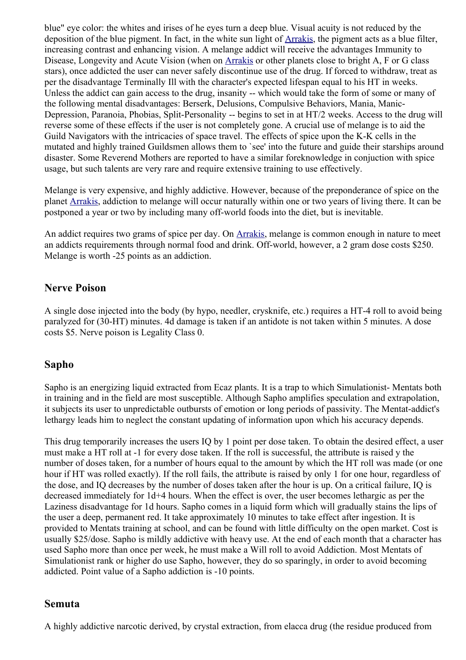blue" eye color: the whites and irises of he eyes turn a deep blue. Visual acuity is not reduced by the deposition of the blue pigment. In fact, in the white sun light of [Arrakis,](#page-16-0) the pigment acts as a blue filter, increasing contrast and enhancing vision. A melange addict will receive the advantages Immunity to Disease, Longevity and Acute Vision (when on [Arrakis](#page-16-0) or other planets close to bright A, F or G class stars), once addicted the user can never safely discontinue use of the drug. If forced to withdraw, treat as per the disadvantage Terminally Ill with the character's expected lifespan equal to his HT in weeks. Unless the addict can gain access to the drug, insanity -- which would take the form of some or many of the following mental disadvantages: Berserk, Delusions, Compulsive Behaviors, Mania, Manic-Depression, Paranoia, Phobias, Split-Personality -- begins to set in at HT/2 weeks. Access to the drug will reverse some of these effects if the user is not completely gone. A crucial use of melange is to aid the Guild Navigators with the intricacies of space travel. The effects of spice upon the K-K cells in the mutated and highly trained Guildsmen allows them to `see' into the future and guide their starships around disaster. Some Reverend Mothers are reported to have a similar foreknowledge in conjuction with spice usage, but such talents are very rare and require extensive training to use effectively.

Melange is very expensive, and highly addictive. However, because of the preponderance of spice on the planet [Arrakis,](#page-16-0) addiction to melange will occur naturally within one or two years of living there. It can be postponed a year or two by including many off-world foods into the diet, but is inevitable.

An addict requires two grams of spice per day. On [Arrakis,](#page-16-0) melange is common enough in nature to meet an addicts requirements through normal food and drink. Off-world, however, a 2 gram dose costs \$250. Melange is worth -25 points as an addiction.

### <span id="page-22-2"></span>**Nerve Poison**

A single dose injected into the body (by hypo, needler, crysknife, etc.) requires a HT-4 roll to avoid being paralyzed for (30-HT) minutes. 4d damage is taken if an antidote is not taken within 5 minutes. A dose costs \$5. Nerve poison is Legality Class 0.

### <span id="page-22-1"></span>**Sapho**

Sapho is an energizing liquid extracted from Ecaz plants. It is a trap to which Simulationist- Mentats both in training and in the field are most susceptible. Although Sapho amplifies speculation and extrapolation, it subjects its user to unpredictable outbursts of emotion or long periods of passivity. The Mentat-addict's lethargy leads him to neglect the constant updating of information upon which his accuracy depends.

This drug temporarily increases the users IQ by 1 point per dose taken. To obtain the desired effect, a user must make a HT roll at -1 for every dose taken. If the roll is successful, the attribute is raised y the number of doses taken, for a number of hours equal to the amount by which the HT roll was made (or one hour if HT was rolled exactly). If the roll fails, the attribute is raised by only 1 for one hour, regardless of the dose, and IQ decreases by the number of doses taken after the hour is up. On a critical failure, IQ is decreased immediately for 1d+4 hours. When the effect is over, the user becomes lethargic as per the Laziness disadvantage for 1d hours. Sapho comes in a liquid form which will gradually stains the lips of the user a deep, permanent red. It take approximately 10 minutes to take effect after ingestion. It is provided to Mentats training at school, and can be found with little difficulty on the open market. Cost is usually \$25/dose. Sapho is mildly addictive with heavy use. At the end of each month that a character has used Sapho more than once per week, he must make a Will roll to avoid Addiction. Most Mentats of Simulationist rank or higher do use Sapho, however, they do so sparingly, in order to avoid becoming addicted. Point value of a Sapho addiction is -10 points.

#### <span id="page-22-0"></span>**Semuta**

A highly addictive narcotic derived, by crystal extraction, from elacca drug (the residue produced from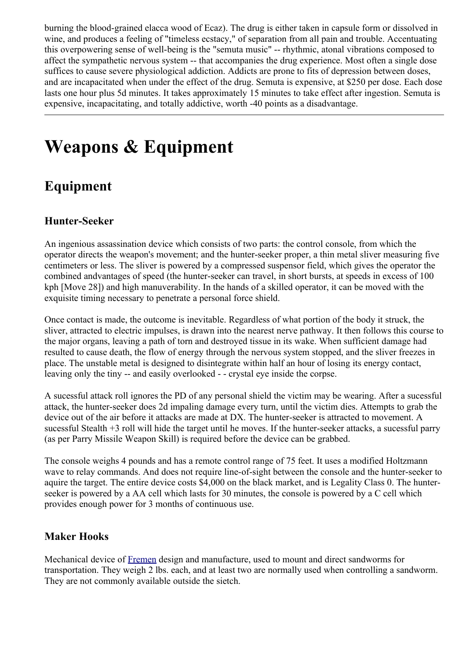burning the blood-grained elacca wood of Ecaz). The drug is either taken in capsule form or dissolved in wine, and produces a feeling of "timeless ecstacy," of separation from all pain and trouble. Accentuating this overpowering sense of well-being is the "semuta music" -- rhythmic, atonal vibrations composed to affect the sympathetic nervous system -- that accompanies the drug experience. Most often a single dose suffices to cause severe physiological addiction. Addicts are prone to fits of depression between doses, and are incapacitated when under the effect of the drug. Semuta is expensive, at \$250 per dose. Each dose lasts one hour plus 5d minutes. It takes approximately 15 minutes to take effect after ingestion. Semuta is expensive, incapacitating, and totally addictive, worth -40 points as a disadvantage.

# <span id="page-23-1"></span>**Weapons & Equipment**

# <span id="page-23-0"></span>**Equipment**

## **Hunter-Seeker**

An ingenious assassination device which consists of two parts: the control console, from which the operator directs the weapon's movement; and the hunter-seeker proper, a thin metal sliver measuring five centimeters or less. The sliver is powered by a compressed suspensor field, which gives the operator the combined andvantages of speed (the hunter-seeker can travel, in short bursts, at speeds in excess of 100 kph [Move 28]) and high manuverability. In the hands of a skilled operator, it can be moved with the exquisite timing necessary to penetrate a personal force shield.

Once contact is made, the outcome is inevitable. Regardless of what portion of the body it struck, the sliver, attracted to electric impulses, is drawn into the nearest nerve pathway. It then follows this course to the major organs, leaving a path of torn and destroyed tissue in its wake. When sufficient damage had resulted to cause death, the flow of energy through the nervous system stopped, and the sliver freezes in place. The unstable metal is designed to disintegrate within half an hour of losing its energy contact, leaving only the tiny -- and easily overlooked - - crystal eye inside the corpse.

A sucessful attack roll ignores the PD of any personal shield the victim may be wearing. After a sucessful attack, the hunter-seeker does 2d impaling damage every turn, until the victim dies. Attempts to grab the device out of the air before it attacks are made at DX. The hunter-seeker is attracted to movement. A sucessful Stealth +3 roll will hide the target until he moves. If the hunter-seeker attacks, a sucessful parry (as per Parry Missile Weapon Skill) is required before the device can be grabbed.

The console weighs 4 pounds and has a remote control range of 75 feet. It uses a modified Holtzmann wave to relay commands. And does not require line-of-sight between the console and the hunter-seeker to aquire the target. The entire device costs \$4,000 on the black market, and is Legality Class 0. The hunterseeker is powered by a AA cell which lasts for 30 minutes, the console is powered by a C cell which provides enough power for 3 months of continuous use.

# **Maker Hooks**

Mechanical device of [Fremen](#page-11-0) design and manufacture, used to mount and direct sandworms for transportation. They weigh 2 lbs. each, and at least two are normally used when controlling a sandworm. They are not commonly available outside the sietch.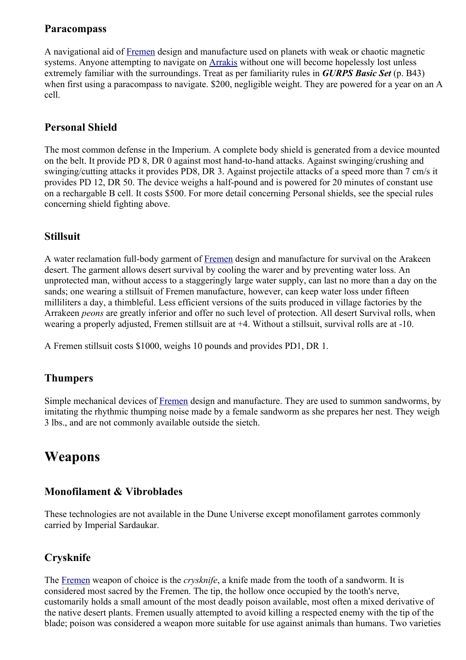### **Paracompass**

A navigational aid of [Fremen](#page-11-0) design and manufacture used on planets with weak or chaotic magnetic systems. Anyone attempting to navigate on [Arrakis](#page-16-0) without one will become hopelessly lost unless extremely familiar with the surroundings. Treat as per familiarity rules in *GURPS Basic Set* (p. B43) when first using a paracompass to navigate. \$200, negligible weight. They are powered for a year on an A cell.

## **Personal Shield**

The most common defense in the Imperium. A complete body shield is generated from a device mounted on the belt. It provide PD 8, DR 0 against most hand-to-hand attacks. Against swinging/crushing and swinging/cutting attacks it provides PD8, DR 3. Against projectile attacks of a speed more than 7 cm/s it provides PD 12, DR 50. The device weighs a half-pound and is powered for 20 minutes of constant use on a rechargable B cell. It costs \$500. For more detail concerning Personal shields, see the special rules concerning shield fighting above.

### **Stillsuit**

A water reclamation full-body garment of [Fremen](#page-11-0) design and manufacture for survival on the Arakeen desert. The garment allows desert survival by cooling the warer and by preventing water loss. An unprotected man, without access to a staggeringly large water supply, can last no more than a day on the sands; one wearing a stillsuit of Fremen manufacture, however, can keep water loss under fifteen milliliters a day, a thimbleful. Less efficient versions of the suits produced in village factories by the Arrakeen *peons* are greatly inferior and offer no such level of protection. All desert Survival rolls, when wearing a properly adjusted, Fremen stillsuit are at +4. Without a stillsuit, survival rolls are at -10.

A Fremen stillsuit costs \$1000, weighs 10 pounds and provides PD1, DR 1.

### **Thumpers**

Simple mechanical devices of [Fremen](#page-11-0) design and manufacture. They are used to summon sandworms, by imitating the rhythmic thumping noise made by a female sandworm as she prepares her nest. They weigh 3 lbs., and are not commonly available outside the sietch.

# <span id="page-24-0"></span>**Weapons**

### **Monofilament & Vibroblades**

These technologies are not available in the Dune Universe except monofilament garrotes commonly carried by Imperial Sardaukar.

### **Crysknife**

The [Fremen](#page-11-0) weapon of choice is the *crysknife*, a knife made from the tooth of a sandworm. It is considered most sacred by the Fremen. The tip, the hollow once occupied by the tooth's nerve, customarily holds a small amount of the most deadly poison available, most often a mixed derivative of the native desert plants. Fremen usually attempted to avoid killing a respected enemy with the tip of the blade; poison was considered a weapon more suitable for use against animals than humans. Two varieties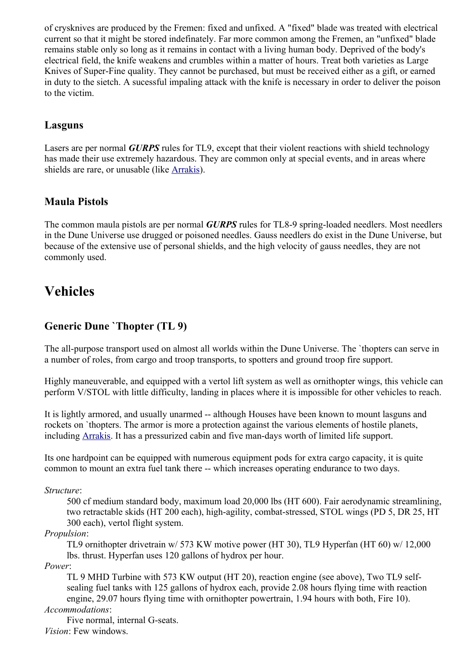of crysknives are produced by the Fremen: fixed and unfixed. A "fixed" blade was treated with electrical current so that it might be stored indefinately. Far more common among the Fremen, an "unfixed" blade remains stable only so long as it remains in contact with a living human body. Deprived of the body's electrical field, the knife weakens and crumbles within a matter of hours. Treat both varieties as Large Knives of Super-Fine quality. They cannot be purchased, but must be received either as a gift, or earned in duty to the sietch. A sucessful impaling attack with the knife is necessary in order to deliver the poison to the victim.

### **Lasguns**

Lasers are per normal *GURPS* rules for TL9, except that their violent reactions with shield technology has made their use extremely hazardous. They are common only at special events, and in areas where shields are rare, or unusable (like [Arrakis\)](#page-16-0).

### **Maula Pistols**

The common maula pistols are per normal *GURPS* rules for TL8-9 spring-loaded needlers. Most needlers in the Dune Universe use drugged or poisoned needles. Gauss needlers do exist in the Dune Universe, but because of the extensive use of personal shields, and the high velocity of gauss needles, they are not commonly used.

# <span id="page-25-0"></span>**Vehicles**

### **Generic Dune `Thopter (TL 9)**

The all-purpose transport used on almost all worlds within the Dune Universe. The `thopters can serve in a number of roles, from cargo and troop transports, to spotters and ground troop fire support.

Highly maneuverable, and equipped with a vertol lift system as well as ornithopter wings, this vehicle can perform V/STOL with little difficulty, landing in places where it is impossible for other vehicles to reach.

It is lightly armored, and usually unarmed -- although Houses have been known to mount lasguns and rockets on `thopters. The armor is more a protection against the various elements of hostile planets, including [Arrakis.](#page-16-0) It has a pressurized cabin and five man-days worth of limited life support.

Its one hardpoint can be equipped with numerous equipment pods for extra cargo capacity, it is quite common to mount an extra fuel tank there -- which increases operating endurance to two days.

*Structure*:

500 cf medium standard body, maximum load 20,000 lbs (HT 600). Fair aerodynamic streamlining, two retractable skids (HT 200 each), high-agility, combat-stressed, STOL wings (PD 5, DR 25, HT 300 each), vertol flight system.

*Propulsion*:

TL9 ornithopter drivetrain w/ 573 KW motive power (HT 30), TL9 Hyperfan (HT 60) w/ 12,000 lbs. thrust. Hyperfan uses 120 gallons of hydrox per hour.

*Power*:

TL 9 MHD Turbine with 573 KW output (HT 20), reaction engine (see above), Two TL9 selfsealing fuel tanks with 125 gallons of hydrox each, provide 2.08 hours flying time with reaction engine, 29.07 hours flying time with ornithopter powertrain, 1.94 hours with both, Fire 10). *Accommodations*:

Five normal, internal G-seats. *Vision*: Few windows.